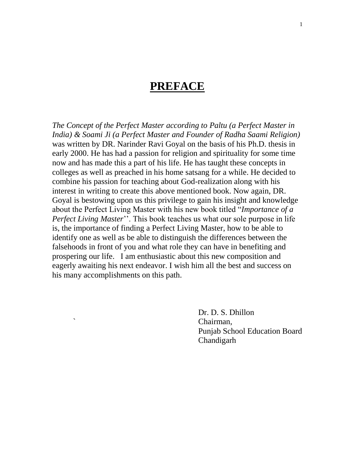### **PREFACE**

*The Concept of the Perfect Master according to Paltu (a Perfect Master in India) & Soami Ji (a Perfect Master and Founder of Radha Saami Religion)* was written by DR. Narinder Ravi Goyal on the basis of his Ph.D. thesis in early 2000. He has had a passion for religion and spirituality for some time now and has made this a part of his life. He has taught these concepts in colleges as well as preached in his home satsang for a while. He decided to combine his passion for teaching about God-realization along with his interest in writing to create this above mentioned book. Now again, DR. Goyal is bestowing upon us this privilege to gain his insight and knowledge about the Perfect Living Master with his new book titled "*Importance of a Perfect Living Master*". This book teaches us what our sole purpose in life is, the importance of finding a Perfect Living Master, how to be able to identify one as well as be able to distinguish the differences between the falsehoods in front of you and what role they can have in benefiting and prospering our life. I am enthusiastic about this new composition and eagerly awaiting his next endeavor. I wish him all the best and success on his many accomplishments on this path.

> Dr. D. S. Dhillon ` Chairman, Punjab School Education Board Chandigarh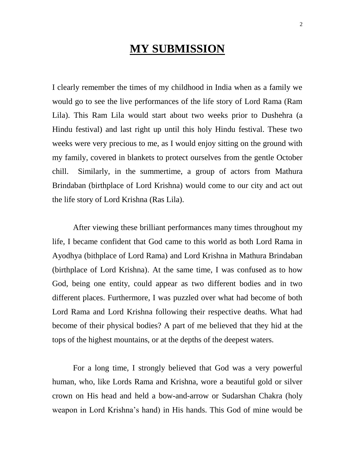## **MY SUBMISSION**

I clearly remember the times of my childhood in India when as a family we would go to see the live performances of the life story of Lord Rama (Ram Lila). This Ram Lila would start about two weeks prior to Dushehra (a Hindu festival) and last right up until this holy Hindu festival. These two weeks were very precious to me, as I would enjoy sitting on the ground with my family, covered in blankets to protect ourselves from the gentle October chill. Similarly, in the summertime, a group of actors from Mathura Brindaban (birthplace of Lord Krishna) would come to our city and act out the life story of Lord Krishna (Ras Lila).

After viewing these brilliant performances many times throughout my life, I became confident that God came to this world as both Lord Rama in Ayodhya (bithplace of Lord Rama) and Lord Krishna in Mathura Brindaban (birthplace of Lord Krishna). At the same time, I was confused as to how God, being one entity, could appear as two different bodies and in two different places. Furthermore, I was puzzled over what had become of both Lord Rama and Lord Krishna following their respective deaths. What had become of their physical bodies? A part of me believed that they hid at the tops of the highest mountains, or at the depths of the deepest waters.

For a long time, I strongly believed that God was a very powerful human, who, like Lords Rama and Krishna, wore a beautiful gold or silver crown on His head and held a bow-and-arrow or Sudarshan Chakra (holy weapon in Lord Krishna"s hand) in His hands. This God of mine would be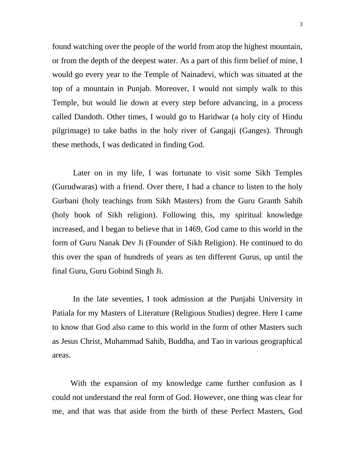found watching over the people of the world from atop the highest mountain, or from the depth of the deepest water. As a part of this firm belief of mine, I would go every year to the Temple of Nainadevi, which was situated at the top of a mountain in Punjab. Moreover, I would not simply walk to this Temple, but would lie down at every step before advancing, in a process called Dandoth. Other times, I would go to Haridwar (a holy city of Hindu pilgrimage) to take baths in the holy river of Gangaji (Ganges). Through these methods, I was dedicated in finding God.

Later on in my life, I was fortunate to visit some Sikh Temples (Gurudwaras) with a friend. Over there, I had a chance to listen to the holy Gurbani (holy teachings from Sikh Masters) from the Guru Granth Sahib (holy book of Sikh religion). Following this, my spiritual knowledge increased, and I began to believe that in 1469, God came to this world in the form of Guru Nanak Dev Ji (Founder of Sikh Religion). He continued to do this over the span of hundreds of years as ten different Gurus, up until the final Guru, Guru Gobind Singh Ji.

In the late seventies, I took admission at the Punjabi University in Patiala for my Masters of Literature (Religious Studies) degree. Here I came to know that God also came to this world in the form of other Masters such as Jesus Christ, Muhammad Sahib, Buddha, and Tao in various geographical areas.

 With the expansion of my knowledge came further confusion as I could not understand the real form of God. However, one thing was clear for me, and that was that aside from the birth of these Perfect Masters, God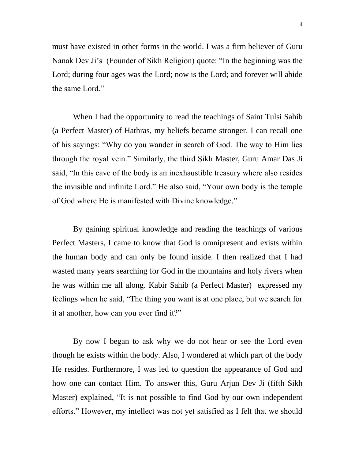must have existed in other forms in the world. I was a firm believer of Guru Nanak Dev Ji"s (Founder of Sikh Religion) quote: "In the beginning was the Lord; during four ages was the Lord; now is the Lord; and forever will abide the same Lord."

When I had the opportunity to read the teachings of Saint Tulsi Sahib (a Perfect Master) of Hathras, my beliefs became stronger. I can recall one of his sayings: "Why do you wander in search of God. The way to Him lies through the royal vein." Similarly, the third Sikh Master, Guru Amar Das Ji said, "In this cave of the body is an inexhaustible treasury where also resides the invisible and infinite Lord." He also said, "Your own body is the temple of God where He is manifested with Divine knowledge."

By gaining spiritual knowledge and reading the teachings of various Perfect Masters, I came to know that God is omnipresent and exists within the human body and can only be found inside. I then realized that I had wasted many years searching for God in the mountains and holy rivers when he was within me all along. Kabir Sahib (a Perfect Master) expressed my feelings when he said, "The thing you want is at one place, but we search for it at another, how can you ever find it?"

By now I began to ask why we do not hear or see the Lord even though he exists within the body. Also, I wondered at which part of the body He resides. Furthermore, I was led to question the appearance of God and how one can contact Him. To answer this, Guru Arjun Dev Ji (fifth Sikh Master) explained, "It is not possible to find God by our own independent efforts." However, my intellect was not yet satisfied as I felt that we should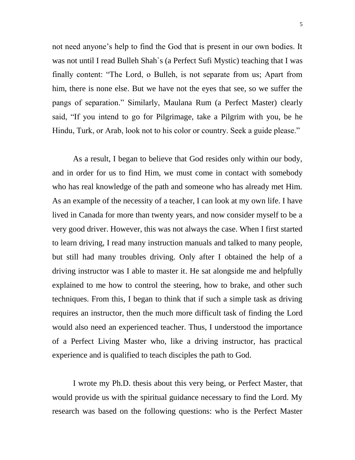not need anyone"s help to find the God that is present in our own bodies. It was not until I read Bulleh Shah`s (a Perfect Sufi Mystic) teaching that I was finally content: "The Lord, o Bulleh, is not separate from us; Apart from him, there is none else. But we have not the eyes that see, so we suffer the pangs of separation." Similarly, Maulana Rum (a Perfect Master) clearly said, "If you intend to go for Pilgrimage, take a Pilgrim with you, be he Hindu, Turk, or Arab, look not to his color or country. Seek a guide please."

As a result, I began to believe that God resides only within our body, and in order for us to find Him, we must come in contact with somebody who has real knowledge of the path and someone who has already met Him. As an example of the necessity of a teacher, I can look at my own life. I have lived in Canada for more than twenty years, and now consider myself to be a very good driver. However, this was not always the case. When I first started to learn driving, I read many instruction manuals and talked to many people, but still had many troubles driving. Only after I obtained the help of a driving instructor was I able to master it. He sat alongside me and helpfully explained to me how to control the steering, how to brake, and other such techniques. From this, I began to think that if such a simple task as driving requires an instructor, then the much more difficult task of finding the Lord would also need an experienced teacher. Thus, I understood the importance of a Perfect Living Master who, like a driving instructor, has practical experience and is qualified to teach disciples the path to God.

I wrote my Ph.D. thesis about this very being, or Perfect Master, that would provide us with the spiritual guidance necessary to find the Lord. My research was based on the following questions: who is the Perfect Master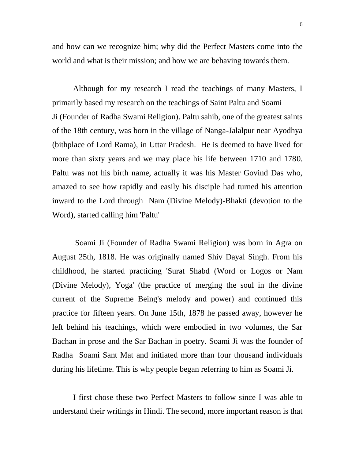and how can we recognize him; why did the Perfect Masters come into the world and what is their mission; and how we are behaving towards them.

Although for my research I read the teachings of many Masters, I primarily based my research on the teachings of Saint Paltu and Soami Ji (Founder of Radha Swami Religion). Paltu sahib, one of the greatest saints of the 18th century, was born in the village of Nanga-Jalalpur near Ayodhya (bithplace of Lord Rama), in Uttar Pradesh. He is deemed to have lived for more than sixty years and we may place his life between 1710 and 1780. Paltu was not his birth name, actually it was his Master Govind Das who, amazed to see how rapidly and easily his disciple had turned his attention inward to the Lord through Nam (Divine Melody)-Bhakti (devotion to the Word), started calling him 'Paltu'

Soami Ji (Founder of Radha Swami Religion) was born in Agra on August 25th, 1818. He was originally named Shiv Dayal Singh. From his childhood, he started practicing 'Surat Shabd (Word or Logos or Nam (Divine Melody), Yoga' (the practice of merging the soul in the divine current of the Supreme Being's melody and power) and continued this practice for fifteen years. On June 15th, 1878 he passed away, however he left behind his teachings, which were embodied in two volumes, the Sar Bachan in prose and the Sar Bachan in poetry. Soami Ji was the founder of Radha Soami Sant Mat and initiated more than four thousand individuals during his lifetime. This is why people began referring to him as Soami Ji.

I first chose these two Perfect Masters to follow since I was able to understand their writings in Hindi. The second, more important reason is that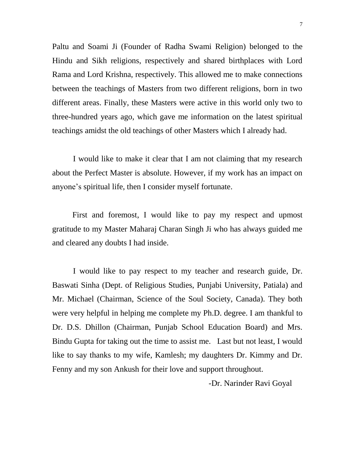Paltu and Soami Ji (Founder of Radha Swami Religion) belonged to the Hindu and Sikh religions, respectively and shared birthplaces with Lord Rama and Lord Krishna, respectively. This allowed me to make connections between the teachings of Masters from two different religions, born in two different areas. Finally, these Masters were active in this world only two to three-hundred years ago, which gave me information on the latest spiritual teachings amidst the old teachings of other Masters which I already had.

I would like to make it clear that I am not claiming that my research about the Perfect Master is absolute. However, if my work has an impact on anyone"s spiritual life, then I consider myself fortunate.

 First and foremost, I would like to pay my respect and upmost gratitude to my Master Maharaj Charan Singh Ji who has always guided me and cleared any doubts I had inside.

I would like to pay respect to my teacher and research guide, Dr. Baswati Sinha (Dept. of Religious Studies, Punjabi University, Patiala) and Mr. Michael (Chairman, Science of the Soul Society, Canada). They both were very helpful in helping me complete my Ph.D. degree. I am thankful to Dr. D.S. Dhillon (Chairman, Punjab School Education Board) and Mrs. Bindu Gupta for taking out the time to assist me. Last but not least, I would like to say thanks to my wife, Kamlesh; my daughters Dr. Kimmy and Dr. Fenny and my son Ankush for their love and support throughout.

-Dr. Narinder Ravi Goyal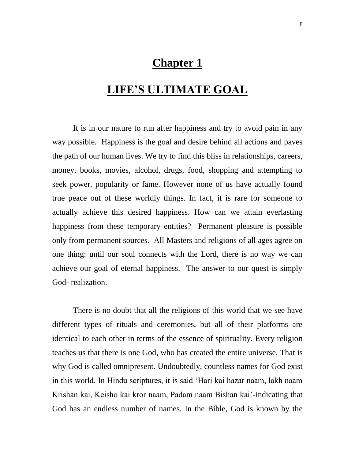### **Chapter 1**

## **LIFE'S ULTIMATE GOAL**

It is in our nature to run after happiness and try to avoid pain in any way possible. Happiness is the goal and desire behind all actions and paves the path of our human lives. We try to find this bliss in relationships, careers, money, books, movies, alcohol, drugs, food, shopping and attempting to seek power, popularity or fame. However none of us have actually found true peace out of these worldly things. In fact, it is rare for someone to actually achieve this desired happiness. How can we attain everlasting happiness from these temporary entities? Permanent pleasure is possible only from permanent sources. All Masters and religions of all ages agree on one thing: until our soul connects with the Lord, there is no way we can achieve our goal of eternal happiness. The answer to our quest is simply God- realization.

There is no doubt that all the religions of this world that we see have different types of rituals and ceremonies, but all of their platforms are identical to each other in terms of the essence of spirituality. Every religion teaches us that there is one God, who has created the entire universe. That is why God is called omnipresent. Undoubtedly, countless names for God exist in this world. In Hindu scriptures, it is said "Hari kai hazar naam, lakh naam Krishan kai, Keisho kai kror naam, Padam naam Bishan kai"-indicating that God has an endless number of names. In the Bible, God is known by the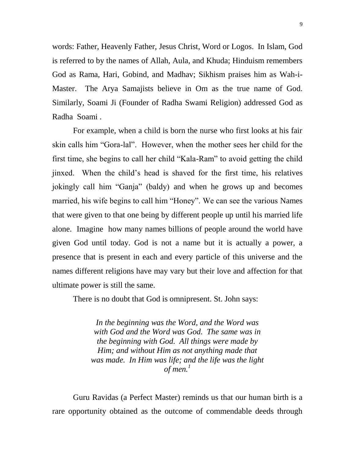words: Father, Heavenly Father, Jesus Christ, Word or Logos. In Islam, God is referred to by the names of Allah, Aula, and Khuda; Hinduism remembers God as Rama, Hari, Gobind, and Madhav; Sikhism praises him as Wah-i-Master. The Arya Samajists believe in Om as the true name of God. Similarly, Soami Ji (Founder of Radha Swami Religion) addressed God as Radha Soami .

For example, when a child is born the nurse who first looks at his fair skin calls him "Gora-lal". However, when the mother sees her child for the first time, she begins to call her child "Kala-Ram" to avoid getting the child jinxed. When the child"s head is shaved for the first time, his relatives jokingly call him "Ganja" (baldy) and when he grows up and becomes married, his wife begins to call him "Honey". We can see the various Names that were given to that one being by different people up until his married life alone. Imagine how many names billions of people around the world have given God until today. God is not a name but it is actually a power, a presence that is present in each and every particle of this universe and the names different religions have may vary but their love and affection for that ultimate power is still the same.

There is no doubt that God is omnipresent. St. John says:

*In the beginning was the Word, and the Word was with God and the Word was God. The same was in the beginning with God. All things were made by Him; and without Him as not anything made that was made. In Him was life; and the life was the light of men.*<sup> $1$ </sup>

Guru Ravidas (a Perfect Master) reminds us that our human birth is a rare opportunity obtained as the outcome of commendable deeds through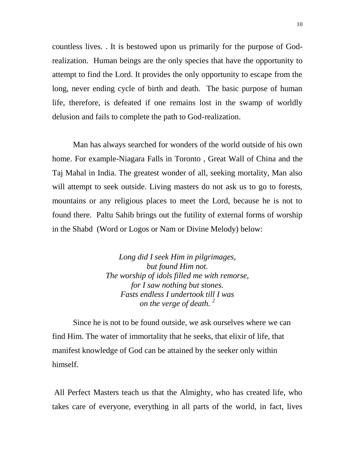countless lives. . It is bestowed upon us primarily for the purpose of Godrealization. Human beings are the only species that have the opportunity to attempt to find the Lord. It provides the only opportunity to escape from the long, never ending cycle of birth and death. The basic purpose of human life, therefore, is defeated if one remains lost in the swamp of worldly delusion and fails to complete the path to God-realization.

Man has always searched for wonders of the world outside of his own home. For example-Niagara Falls in Toronto , Great Wall of China and the Taj Mahal in India. The greatest wonder of all, seeking mortality, Man also will attempt to seek outside. Living masters do not ask us to go to forests, mountains or any religious places to meet the Lord, because he is not to found there. Paltu Sahib brings out the futility of external forms of worship in the Shabd (Word or Logos or Nam or Divine Melody) below:

> *Long did I seek Him in pilgrimages, but found Him not. The worship of idols filled me with remorse, for I saw nothing but stones. Fasts endless I undertook till I was on the verge of death. <sup>2</sup>*

Since he is not to be found outside, we ask ourselves where we can find Him. The water of immortality that he seeks, that elixir of life, that manifest knowledge of God can be attained by the seeker only within himself.

All Perfect Masters teach us that the Almighty, who has created life, who takes care of everyone, everything in all parts of the world, in fact, lives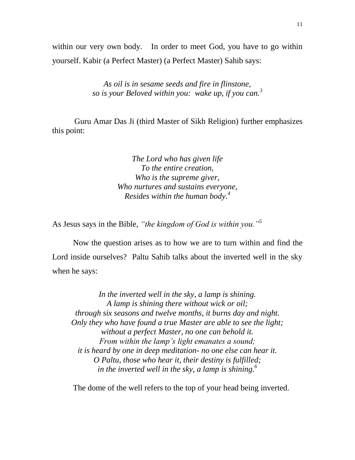within our very own body. In order to meet God, you have to go within yourself. Kabir (a Perfect Master) (a Perfect Master) Sahib says:

> *As oil is in sesame seeds and fire in flinstone, so is your Beloved within you: wake up, if you can.<sup>3</sup>*

 Guru Amar Das Ji (third Master of Sikh Religion) further emphasizes this point:

> *The Lord who has given life To the entire creation, Who is the supreme giver, Who nurtures and sustains everyone, Resides within the human body.<sup>4</sup>*

As Jesus says in the Bible, *"the kingdom of God is within you."<sup>5</sup>*

Now the question arises as to how we are to turn within and find the Lord inside ourselves? Paltu Sahib talks about the inverted well in the sky when he says:

*In the inverted well in the sky, a lamp is shining. A lamp is shining there without wick or oil; through six seasons and twelve months, it burns day and night. Only they who have found a true Master are able to see the light; without a perfect Master, no one can behold it. From within the lamp"s light emanates a sound; it is heard by one in deep meditation- no one else can hear it. O Paltu, those who hear it, their destiny is fulfilled; in the inverted well in the sky, a lamp is shining.<sup>6</sup>*

The dome of the well refers to the top of your head being inverted.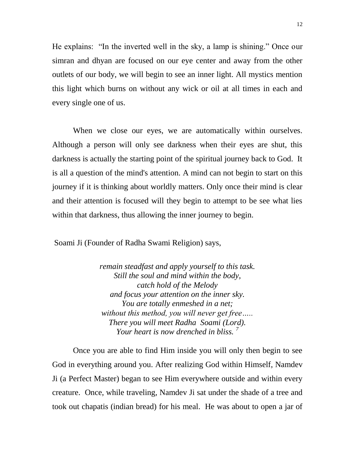He explains: "In the inverted well in the sky, a lamp is shining." Once our simran and dhyan are focused on our eye center and away from the other outlets of our body, we will begin to see an inner light. All mystics mention this light which burns on without any wick or oil at all times in each and every single one of us.

When we close our eyes, we are automatically within ourselves. Although a person will only see darkness when their eyes are shut, this darkness is actually the starting point of the spiritual journey back to God. It is all a question of the mind's attention. A mind can not begin to start on this journey if it is thinking about worldly matters. Only once their mind is clear and their attention is focused will they begin to attempt to be see what lies within that darkness, thus allowing the inner journey to begin.

Soami Ji (Founder of Radha Swami Religion) says,

*remain steadfast and apply yourself to this task. Still the soul and mind within the body, catch hold of the Melody and focus your attention on the inner sky. You are totally enmeshed in a net; without this method, you will never get free….. There you will meet Radha Soami (Lord). Your heart is now drenched in bliss. <sup>7</sup>*

Once you are able to find Him inside you will only then begin to see God in everything around you. After realizing God within Himself, Namdev Ji (a Perfect Master) began to see Him everywhere outside and within every creature. Once, while traveling, Namdev Ji sat under the shade of a tree and took out chapatis (indian bread) for his meal. He was about to open a jar of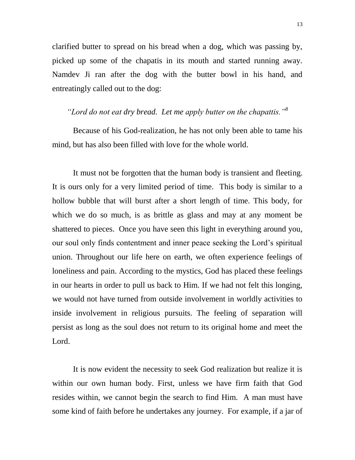clarified butter to spread on his bread when a dog, which was passing by, picked up some of the chapatis in its mouth and started running away. Namdev Ji ran after the dog with the butter bowl in his hand, and entreatingly called out to the dog:

*"Lord do not eat dry bread. Let me apply butter on the chapattis."<sup>8</sup>*

Because of his God-realization, he has not only been able to tame his mind, but has also been filled with love for the whole world.

It must not be forgotten that the human body is transient and fleeting. It is ours only for a very limited period of time. This body is similar to a hollow bubble that will burst after a short length of time. This body, for which we do so much, is as brittle as glass and may at any moment be shattered to pieces. Once you have seen this light in everything around you, our soul only finds contentment and inner peace seeking the Lord"s spiritual union. Throughout our life here on earth, we often experience feelings of loneliness and pain. According to the mystics, God has placed these feelings in our hearts in order to pull us back to Him. If we had not felt this longing, we would not have turned from outside involvement in worldly activities to inside involvement in religious pursuits. The feeling of separation will persist as long as the soul does not return to its original home and meet the Lord.

It is now evident the necessity to seek God realization but realize it is within our own human body. First, unless we have firm faith that God resides within, we cannot begin the search to find Him. A man must have some kind of faith before he undertakes any journey. For example, if a jar of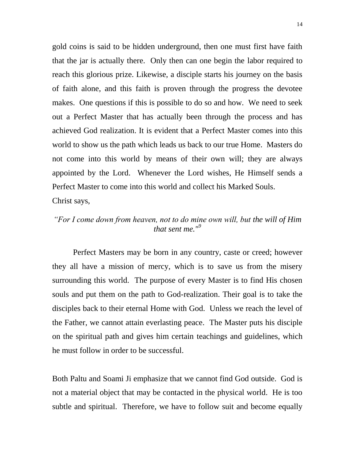gold coins is said to be hidden underground, then one must first have faith that the jar is actually there. Only then can one begin the labor required to reach this glorious prize. Likewise, a disciple starts his journey on the basis of faith alone, and this faith is proven through the progress the devotee makes. One questions if this is possible to do so and how. We need to seek out a Perfect Master that has actually been through the process and has achieved God realization. It is evident that a Perfect Master comes into this world to show us the path which leads us back to our true Home. Masters do not come into this world by means of their own will; they are always appointed by the Lord. Whenever the Lord wishes, He Himself sends a Perfect Master to come into this world and collect his Marked Souls. Christ says,

#### *"For I come down from heaven, not to do mine own will, but the will of Him that sent me."<sup>9</sup>*

Perfect Masters may be born in any country, caste or creed; however they all have a mission of mercy, which is to save us from the misery surrounding this world. The purpose of every Master is to find His chosen souls and put them on the path to God-realization. Their goal is to take the disciples back to their eternal Home with God. Unless we reach the level of the Father, we cannot attain everlasting peace. The Master puts his disciple on the spiritual path and gives him certain teachings and guidelines, which he must follow in order to be successful.

Both Paltu and Soami Ji emphasize that we cannot find God outside. God is not a material object that may be contacted in the physical world. He is too subtle and spiritual. Therefore, we have to follow suit and become equally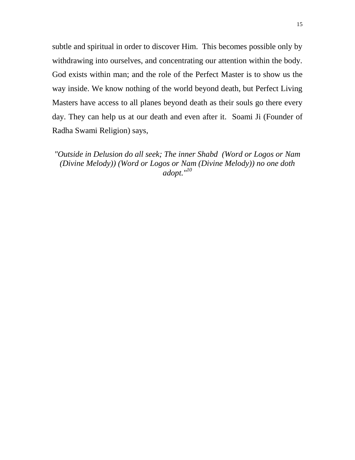subtle and spiritual in order to discover Him. This becomes possible only by withdrawing into ourselves, and concentrating our attention within the body. God exists within man; and the role of the Perfect Master is to show us the way inside. We know nothing of the world beyond death, but Perfect Living Masters have access to all planes beyond death as their souls go there every day. They can help us at our death and even after it. Soami Ji (Founder of Radha Swami Religion) says,

*"Outside in Delusion do all seek; The inner Shabd (Word or Logos or Nam (Divine Melody)) (Word or Logos or Nam (Divine Melody)) no one doth adopt."<sup>10</sup>*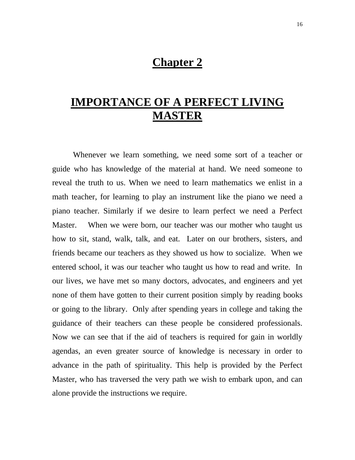### **Chapter 2**

# **IMPORTANCE OF A PERFECT LIVING MASTER**

Whenever we learn something, we need some sort of a teacher or guide who has knowledge of the material at hand. We need someone to reveal the truth to us. When we need to learn mathematics we enlist in a math teacher, for learning to play an instrument like the piano we need a piano teacher. Similarly if we desire to learn perfect we need a Perfect Master. When we were born, our teacher was our mother who taught us how to sit, stand, walk, talk, and eat. Later on our brothers, sisters, and friends became our teachers as they showed us how to socialize. When we entered school, it was our teacher who taught us how to read and write. In our lives, we have met so many doctors, advocates, and engineers and yet none of them have gotten to their current position simply by reading books or going to the library. Only after spending years in college and taking the guidance of their teachers can these people be considered professionals. Now we can see that if the aid of teachers is required for gain in worldly agendas, an even greater source of knowledge is necessary in order to advance in the path of spirituality. This help is provided by the Perfect Master, who has traversed the very path we wish to embark upon, and can alone provide the instructions we require.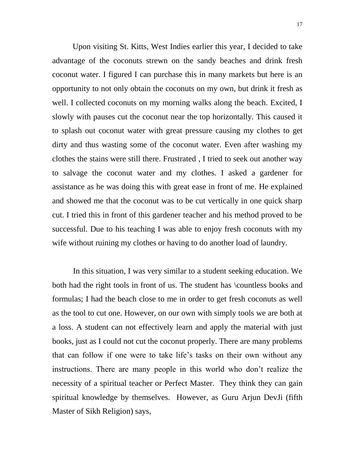Upon visiting St. Kitts, West Indies earlier this year, I decided to take advantage of the coconuts strewn on the sandy beaches and drink fresh coconut water. I figured I can purchase this in many markets but here is an opportunity to not only obtain the coconuts on my own, but drink it fresh as well. I collected coconuts on my morning walks along the beach. Excited, I slowly with pauses cut the coconut near the top horizontally. This caused it to splash out coconut water with great pressure causing my clothes to get dirty and thus wasting some of the coconut water. Even after washing my clothes the stains were still there. Frustrated , I tried to seek out another way to salvage the coconut water and my clothes. I asked a gardener for assistance as he was doing this with great ease in front of me. He explained and showed me that the coconut was to be cut vertically in one quick sharp cut. I tried this in front of this gardener teacher and his method proved to be successful. Due to his teaching I was able to enjoy fresh coconuts with my wife without ruining my clothes or having to do another load of laundry.

In this situation, I was very similar to a student seeking education. We both had the right tools in front of us. The student has \countless books and formulas; I had the beach close to me in order to get fresh coconuts as well as the tool to cut one. However, on our own with simply tools we are both at a loss. A student can not effectively learn and apply the material with just books, just as I could not cut the coconut properly. There are many problems that can follow if one were to take life"s tasks on their own without any instructions. There are many people in this world who don"t realize the necessity of a spiritual teacher or Perfect Master. They think they can gain spiritual knowledge by themselves. However, as Guru Arjun DevJi (fifth Master of Sikh Religion) says,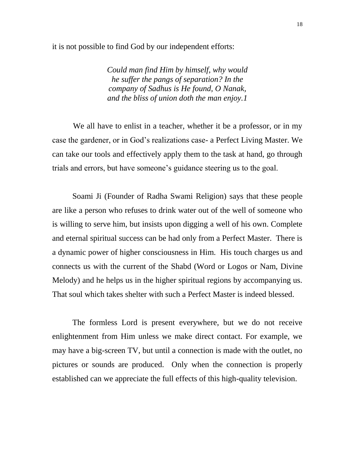it is not possible to find God by our independent efforts:

*Could man find Him by himself, why would he suffer the pangs of separation? In the company of Sadhus is He found, O Nanak, and the bliss of union doth the man enjoy.1*

We all have to enlist in a teacher, whether it be a professor, or in my case the gardener, or in God"s realizations case- a Perfect Living Master. We can take our tools and effectively apply them to the task at hand, go through trials and errors, but have someone"s guidance steering us to the goal.

 Soami Ji (Founder of Radha Swami Religion) says that these people are like a person who refuses to drink water out of the well of someone who is willing to serve him, but insists upon digging a well of his own. Complete and eternal spiritual success can be had only from a Perfect Master. There is a dynamic power of higher consciousness in Him. His touch charges us and connects us with the current of the Shabd (Word or Logos or Nam, Divine Melody) and he helps us in the higher spiritual regions by accompanying us. That soul which takes shelter with such a Perfect Master is indeed blessed.

 The formless Lord is present everywhere, but we do not receive enlightenment from Him unless we make direct contact. For example, we may have a big-screen TV, but until a connection is made with the outlet, no pictures or sounds are produced. Only when the connection is properly established can we appreciate the full effects of this high-quality television.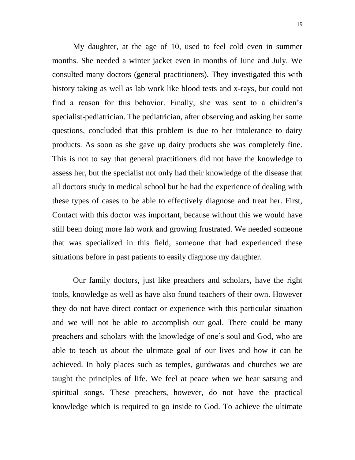My daughter, at the age of 10, used to feel cold even in summer months. She needed a winter jacket even in months of June and July. We consulted many doctors (general practitioners). They investigated this with history taking as well as lab work like blood tests and x-rays, but could not find a reason for this behavior. Finally, she was sent to a children"s specialist-pediatrician. The pediatrician, after observing and asking her some questions, concluded that this problem is due to her intolerance to dairy products. As soon as she gave up dairy products she was completely fine. This is not to say that general practitioners did not have the knowledge to assess her, but the specialist not only had their knowledge of the disease that all doctors study in medical school but he had the experience of dealing with these types of cases to be able to effectively diagnose and treat her. First, Contact with this doctor was important, because without this we would have still been doing more lab work and growing frustrated. We needed someone that was specialized in this field, someone that had experienced these situations before in past patients to easily diagnose my daughter.

Our family doctors, just like preachers and scholars, have the right tools, knowledge as well as have also found teachers of their own. However they do not have direct contact or experience with this particular situation and we will not be able to accomplish our goal. There could be many preachers and scholars with the knowledge of one"s soul and God, who are able to teach us about the ultimate goal of our lives and how it can be achieved. In holy places such as temples, gurdwaras and churches we are taught the principles of life. We feel at peace when we hear satsung and spiritual songs. These preachers, however, do not have the practical knowledge which is required to go inside to God. To achieve the ultimate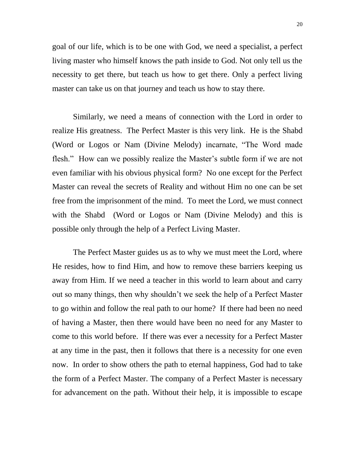goal of our life, which is to be one with God, we need a specialist, a perfect living master who himself knows the path inside to God. Not only tell us the necessity to get there, but teach us how to get there. Only a perfect living master can take us on that journey and teach us how to stay there.

Similarly, we need a means of connection with the Lord in order to realize His greatness. The Perfect Master is this very link. He is the Shabd (Word or Logos or Nam (Divine Melody) incarnate, "The Word made flesh." How can we possibly realize the Master's subtle form if we are not even familiar with his obvious physical form? No one except for the Perfect Master can reveal the secrets of Reality and without Him no one can be set free from the imprisonment of the mind. To meet the Lord, we must connect with the Shabd (Word or Logos or Nam (Divine Melody) and this is possible only through the help of a Perfect Living Master.

The Perfect Master guides us as to why we must meet the Lord, where He resides, how to find Him, and how to remove these barriers keeping us away from Him. If we need a teacher in this world to learn about and carry out so many things, then why shouldn"t we seek the help of a Perfect Master to go within and follow the real path to our home? If there had been no need of having a Master, then there would have been no need for any Master to come to this world before. If there was ever a necessity for a Perfect Master at any time in the past, then it follows that there is a necessity for one even now. In order to show others the path to eternal happiness, God had to take the form of a Perfect Master. The company of a Perfect Master is necessary for advancement on the path. Without their help, it is impossible to escape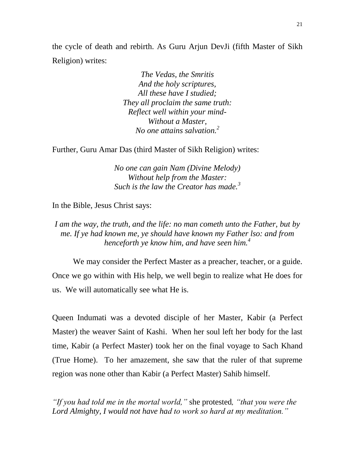the cycle of death and rebirth. As Guru Arjun DevJi (fifth Master of Sikh Religion) writes:

> *The Vedas, the Smritis And the holy scriptures, All these have I studied; They all proclaim the same truth: Reflect well within your mind-Without a Master, No one attains salvation.<sup>2</sup>*

Further, Guru Amar Das (third Master of Sikh Religion) writes:

*No one can gain Nam (Divine Melody) Without help from the Master: Such is the law the Creator has made.<sup>3</sup>*

In the Bible, Jesus Christ says:

*I am the way, the truth, and the life: no man cometh unto the Father, but by me. If ye had known me, ye should have known my Father lso: and from henceforth ye know him, and have seen him.<sup>4</sup>*

We may consider the Perfect Master as a preacher, teacher, or a guide. Once we go within with His help, we well begin to realize what He does for us. We will automatically see what He is.

Queen Indumati was a devoted disciple of her Master, Kabir (a Perfect Master) the weaver Saint of Kashi. When her soul left her body for the last time, Kabir (a Perfect Master) took her on the final voyage to Sach Khand (True Home). To her amazement, she saw that the ruler of that supreme region was none other than Kabir (a Perfect Master) Sahib himself.

*"If you had told me in the mortal world,"* she protested*, "that you were the Lord Almighty, I would not have had to work so hard at my meditation."*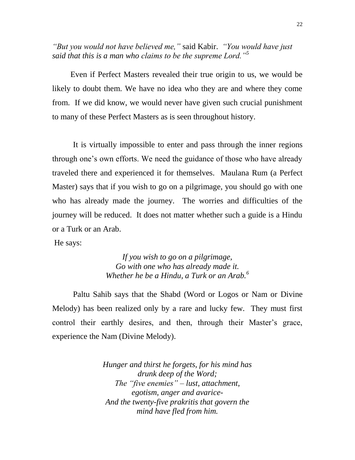*"But you would not have believed me,"* said Kabir. *"You would have just said that this is a man who claims to be the supreme Lord."<sup>5</sup>*

 Even if Perfect Masters revealed their true origin to us, we would be likely to doubt them. We have no idea who they are and where they come from. If we did know, we would never have given such crucial punishment to many of these Perfect Masters as is seen throughout history.

It is virtually impossible to enter and pass through the inner regions through one"s own efforts. We need the guidance of those who have already traveled there and experienced it for themselves. Maulana Rum (a Perfect Master) says that if you wish to go on a pilgrimage, you should go with one who has already made the journey. The worries and difficulties of the journey will be reduced. It does not matter whether such a guide is a Hindu or a Turk or an Arab.

He says:

*If you wish to go on a pilgrimage, Go with one who has already made it. Whether he be a Hindu, a Turk or an Arab.<sup>6</sup>*

Paltu Sahib says that the Shabd (Word or Logos or Nam or Divine Melody) has been realized only by a rare and lucky few. They must first control their earthly desires, and then, through their Master's grace, experience the Nam (Divine Melody).

> *Hunger and thirst he forgets, for his mind has drunk deep of the Word; The "five enemies" – lust, attachment, egotism, anger and avarice-And the twenty-five prakritis that govern the mind have fled from him.*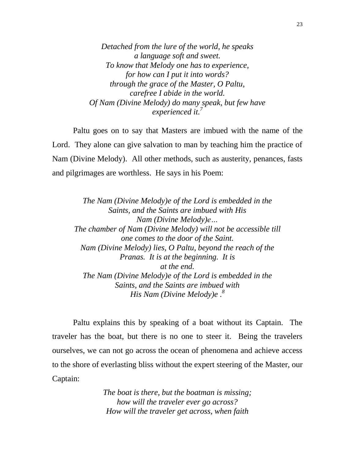*Detached from the lure of the world, he speaks a language soft and sweet. To know that Melody one has to experience, for how can I put it into words? through the grace of the Master, O Paltu, carefree I abide in the world. Of Nam (Divine Melody) do many speak, but few have experienced it.<sup>7</sup>*

Paltu goes on to say that Masters are imbued with the name of the Lord. They alone can give salvation to man by teaching him the practice of Nam (Divine Melody). All other methods, such as austerity, penances, fasts and pilgrimages are worthless. He says in his Poem:

*The Nam (Divine Melody)e of the Lord is embedded in the Saints, and the Saints are imbued with His Nam (Divine Melody)e… The chamber of Nam (Divine Melody) will not be accessible till one comes to the door of the Saint. Nam (Divine Melody) lies, O Paltu, beyond the reach of the Pranas. It is at the beginning. It is at the end. The Nam (Divine Melody)e of the Lord is embedded in the Saints, and the Saints are imbued with His Nam (Divine Melody)e . 8*

Paltu explains this by speaking of a boat without its Captain. The traveler has the boat, but there is no one to steer it. Being the travelers ourselves, we can not go across the ocean of phenomena and achieve access to the shore of everlasting bliss without the expert steering of the Master, our Captain:

> *The boat is there, but the boatman is missing; how will the traveler ever go across? How will the traveler get across, when faith*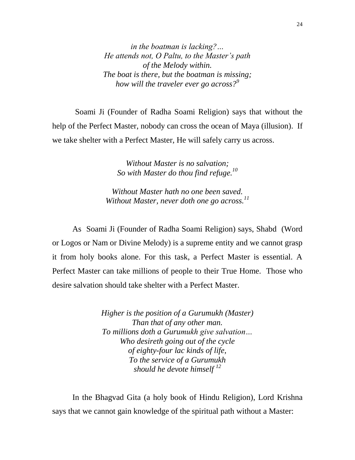*in the boatman is lacking?… He attends not, O Paltu, to the Master"s path of the Melody within. The boat is there, but the boatman is missing; how will the traveler ever go across?<sup>9</sup>*

Soami Ji (Founder of Radha Soami Religion) says that without the help of the Perfect Master, nobody can cross the ocean of Maya (illusion). If we take shelter with a Perfect Master, He will safely carry us across.

> *Without Master is no salvation; So with Master do thou find refuge.<sup>10</sup>*

*Without Master hath no one been saved. Without Master, never doth one go across.<sup>11</sup>*

 As Soami Ji (Founder of Radha Soami Religion) says, Shabd (Word or Logos or Nam or Divine Melody) is a supreme entity and we cannot grasp it from holy books alone. For this task, a Perfect Master is essential. A Perfect Master can take millions of people to their True Home. Those who desire salvation should take shelter with a Perfect Master.

> *Higher is the position of a Gurumukh (Master) Than that of any other man. To millions doth a Gurumukh give salvation… Who desireth going out of the cycle of eighty-four lac kinds of life, To the service of a Gurumukh should he devote himself <sup>12</sup>*

 In the Bhagvad Gita (a holy book of Hindu Religion), Lord Krishna says that we cannot gain knowledge of the spiritual path without a Master: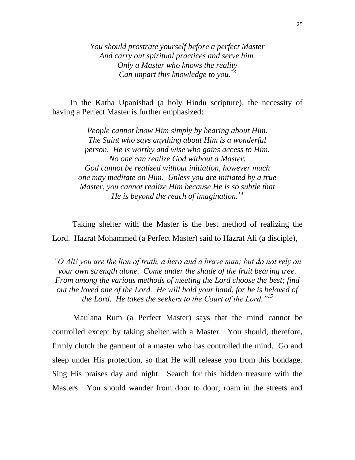*You should prostrate yourself before a perfect Master And carry out spiritual practices and serve him. Only a Master who knows the reality Can impart this knowledge to you.<sup>13</sup>*

 In the Katha Upanishad (a holy Hindu scripture), the necessity of having a Perfect Master is further emphasized:

> *People cannot know Him simply by hearing about Him. The Saint who says anything about Him is a wonderful person. He is worthy and wise who gains access to Him. No one can realize God without a Master. God cannot be realized without initiation, however much one may meditate on Him. Unless you are initiated by a true Master, you cannot realize Him because He is so subtle that He is beyond the reach of imagination.<sup>14</sup>*

 Taking shelter with the Master is the best method of realizing the Lord. Hazrat Mohammed (a Perfect Master) said to Hazrat Ali (a disciple),

*"O Ali! you are the lion of truth, a hero and a brave man; but do not rely on your own strength alone. Come under the shade of the fruit bearing tree. From among the various methods of meeting the Lord choose the best; find out the loved one of the Lord. He will hold your hand, for he is beloved of the Lord. He takes the seekers to the Court of the Lord."<sup>15</sup>*

Maulana Rum (a Perfect Master) says that the mind cannot be controlled except by taking shelter with a Master. You should, therefore, firmly clutch the garment of a master who has controlled the mind. Go and sleep under His protection, so that He will release you from this bondage. Sing His praises day and night. Search for this hidden treasure with the Masters. You should wander from door to door; roam in the streets and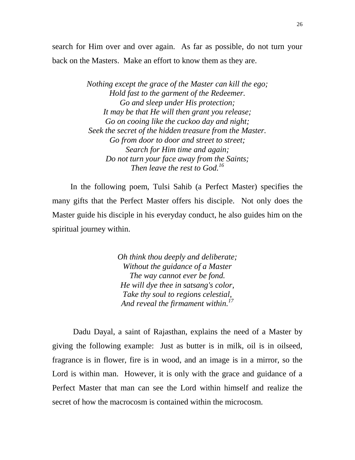search for Him over and over again. As far as possible, do not turn your back on the Masters. Make an effort to know them as they are.

> *Nothing except the grace of the Master can kill the ego; Hold fast to the garment of the Redeemer. Go and sleep under His protection; It may be that He will then grant you release; Go on cooing like the cuckoo day and night; Seek the secret of the hidden treasure from the Master. Go from door to door and street to street; Search for Him time and again; Do not turn your face away from the Saints; Then leave the rest to God.<sup>16</sup>*

 In the following poem, Tulsi Sahib (a Perfect Master) specifies the many gifts that the Perfect Master offers his disciple. Not only does the Master guide his disciple in his everyday conduct, he also guides him on the spiritual journey within.

> *Oh think thou deeply and deliberate; Without the guidance of a Master The way cannot ever be fond. He will dye thee in satsang's color, Take thy soul to regions celestial, And reveal the firmament within.<sup>17</sup>*

Dadu Dayal, a saint of Rajasthan, explains the need of a Master by giving the following example: Just as butter is in milk, oil is in oilseed, fragrance is in flower, fire is in wood, and an image is in a mirror, so the Lord is within man. However, it is only with the grace and guidance of a Perfect Master that man can see the Lord within himself and realize the secret of how the macrocosm is contained within the microcosm.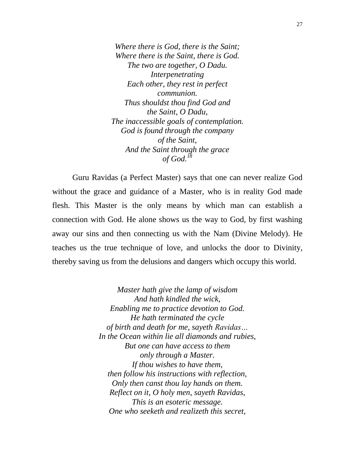*Where there is God, there is the Saint; Where there is the Saint, there is God. The two are together, O Dadu. Interpenetrating Each other, they rest in perfect communion. Thus shouldst thou find God and the Saint, O Dadu, The inaccessible goals of contemplation. God is found through the company of the Saint, And the Saint through the grace of God.<sup>18</sup>*

 Guru Ravidas (a Perfect Master) says that one can never realize God without the grace and guidance of a Master, who is in reality God made flesh. This Master is the only means by which man can establish a connection with God. He alone shows us the way to God, by first washing away our sins and then connecting us with the Nam (Divine Melody). He teaches us the true technique of love, and unlocks the door to Divinity, thereby saving us from the delusions and dangers which occupy this world.

> *Master hath give the lamp of wisdom And hath kindled the wick, Enabling me to practice devotion to God. He hath terminated the cycle of birth and death for me, sayeth Ravidas… In the Ocean within lie all diamonds and rubies, But one can have access to them only through a Master. If thou wishes to have them, then follow his instructions with reflection, Only then canst thou lay hands on them. Reflect on it, O holy men, sayeth Ravidas, This is an esoteric message. One who seeketh and realizeth this secret,*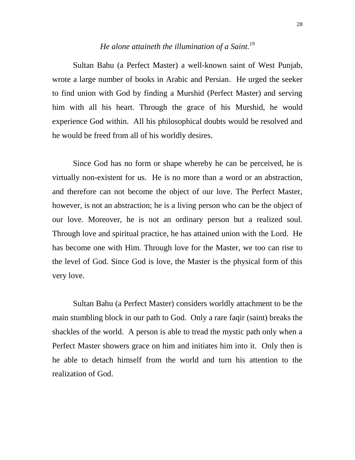#### *He alone attaineth the illumination of a Saint.<sup>19</sup>*

Sultan Bahu (a Perfect Master) a well-known saint of West Punjab, wrote a large number of books in Arabic and Persian. He urged the seeker to find union with God by finding a Murshid (Perfect Master) and serving him with all his heart. Through the grace of his Murshid, he would experience God within. All his philosophical doubts would be resolved and he would be freed from all of his worldly desires.

Since God has no form or shape whereby he can be perceived, he is virtually non-existent for us. He is no more than a word or an abstraction, and therefore can not become the object of our love. The Perfect Master, however, is not an abstraction; he is a living person who can be the object of our love. Moreover, he is not an ordinary person but a realized soul. Through love and spiritual practice, he has attained union with the Lord. He has become one with Him. Through love for the Master, we too can rise to the level of God. Since God is love, the Master is the physical form of this very love.

Sultan Bahu (a Perfect Master) considers worldly attachment to be the main stumbling block in our path to God. Only a rare faqir (saint) breaks the shackles of the world. A person is able to tread the mystic path only when a Perfect Master showers grace on him and initiates him into it. Only then is he able to detach himself from the world and turn his attention to the realization of God.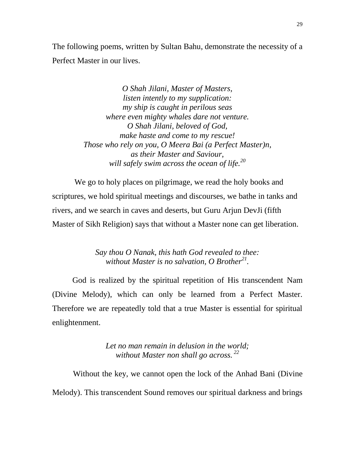The following poems, written by Sultan Bahu, demonstrate the necessity of a Perfect Master in our lives.

> *O Shah Jilani, Master of Masters, listen intently to my supplication: my ship is caught in perilous seas where even mighty whales dare not venture. O Shah Jilani, beloved of God, make haste and come to my rescue! Those who rely on you, O Meera Bai (a Perfect Master)n, as their Master and Saviour, will safely swim across the ocean of life.<sup>20</sup>*

We go to holy places on pilgrimage, we read the holy books and scriptures, we hold spiritual meetings and discourses, we bathe in tanks and rivers, and we search in caves and deserts, but Guru Arjun DevJi (fifth Master of Sikh Religion) says that without a Master none can get liberation.

> *Say thou O Nanak, this hath God revealed to thee: without Master is no salvation, O Brother<sup>21</sup> .*

 God is realized by the spiritual repetition of His transcendent Nam (Divine Melody), which can only be learned from a Perfect Master. Therefore we are repeatedly told that a true Master is essential for spiritual enlightenment.

> *Let no man remain in delusion in the world; without Master non shall go across. <sup>22</sup>*

Without the key, we cannot open the lock of the Anhad Bani (Divine Melody). This transcendent Sound removes our spiritual darkness and brings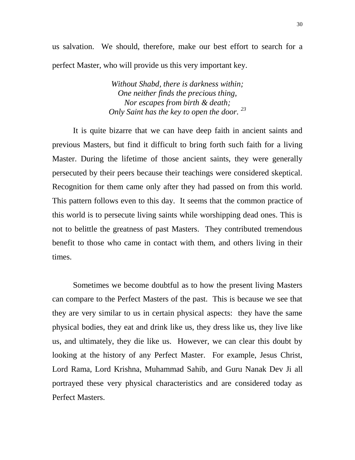us salvation. We should, therefore, make our best effort to search for a perfect Master, who will provide us this very important key.

> *Without Shabd, there is darkness within; One neither finds the precious thing, Nor escapes from birth & death; Only Saint has the key to open the door. <sup>23</sup>*

It is quite bizarre that we can have deep faith in ancient saints and previous Masters, but find it difficult to bring forth such faith for a living Master. During the lifetime of those ancient saints, they were generally persecuted by their peers because their teachings were considered skeptical. Recognition for them came only after they had passed on from this world. This pattern follows even to this day. It seems that the common practice of this world is to persecute living saints while worshipping dead ones. This is not to belittle the greatness of past Masters. They contributed tremendous benefit to those who came in contact with them, and others living in their times.

Sometimes we become doubtful as to how the present living Masters can compare to the Perfect Masters of the past. This is because we see that they are very similar to us in certain physical aspects: they have the same physical bodies, they eat and drink like us, they dress like us, they live like us, and ultimately, they die like us. However, we can clear this doubt by looking at the history of any Perfect Master. For example, Jesus Christ, Lord Rama, Lord Krishna, Muhammad Sahib, and Guru Nanak Dev Ji all portrayed these very physical characteristics and are considered today as Perfect Masters.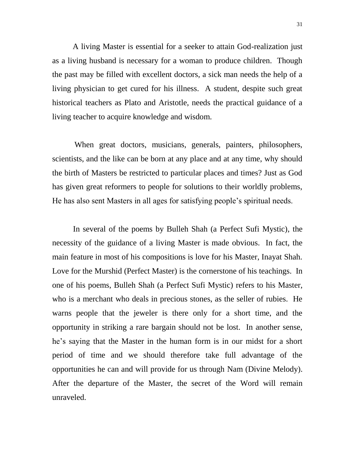A living Master is essential for a seeker to attain God-realization just as a living husband is necessary for a woman to produce children. Though the past may be filled with excellent doctors, a sick man needs the help of a living physician to get cured for his illness. A student, despite such great historical teachers as Plato and Aristotle, needs the practical guidance of a living teacher to acquire knowledge and wisdom.

 When great doctors, musicians, generals, painters, philosophers, scientists, and the like can be born at any place and at any time, why should the birth of Masters be restricted to particular places and times? Just as God has given great reformers to people for solutions to their worldly problems, He has also sent Masters in all ages for satisfying people"s spiritual needs.

In several of the poems by Bulleh Shah (a Perfect Sufi Mystic), the necessity of the guidance of a living Master is made obvious. In fact, the main feature in most of his compositions is love for his Master, Inayat Shah. Love for the Murshid (Perfect Master) is the cornerstone of his teachings. In one of his poems, Bulleh Shah (a Perfect Sufi Mystic) refers to his Master, who is a merchant who deals in precious stones, as the seller of rubies. He warns people that the jeweler is there only for a short time, and the opportunity in striking a rare bargain should not be lost. In another sense, he"s saying that the Master in the human form is in our midst for a short period of time and we should therefore take full advantage of the opportunities he can and will provide for us through Nam (Divine Melody). After the departure of the Master, the secret of the Word will remain unraveled.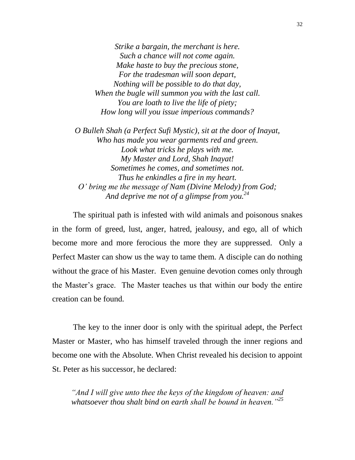*Strike a bargain, the merchant is here. Such a chance will not come again. Make haste to buy the precious stone, For the tradesman will soon depart, Nothing will be possible to do that day, When the bugle will summon you with the last call. You are loath to live the life of piety; How long will you issue imperious commands?*

*O Bulleh Shah (a Perfect Sufi Mystic), sit at the door of Inayat, Who has made you wear garments red and green. Look what tricks he plays with me. My Master and Lord, Shah Inayat! Sometimes he comes, and sometimes not. Thus he enkindles a fire in my heart. O" bring me the message of Nam (Divine Melody) from God; And deprive me not of a glimpse from you.<sup>24</sup>*

The spiritual path is infested with wild animals and poisonous snakes in the form of greed, lust, anger, hatred, jealousy, and ego, all of which become more and more ferocious the more they are suppressed. Only a Perfect Master can show us the way to tame them. A disciple can do nothing without the grace of his Master. Even genuine devotion comes only through the Master"s grace. The Master teaches us that within our body the entire creation can be found.

The key to the inner door is only with the spiritual adept, the Perfect Master or Master, who has himself traveled through the inner regions and become one with the Absolute. When Christ revealed his decision to appoint St. Peter as his successor, he declared:

*"And I will give unto thee the keys of the kingdom of heaven: and whatsoever thou shalt bind on earth shall be bound in heaven."<sup>25</sup>*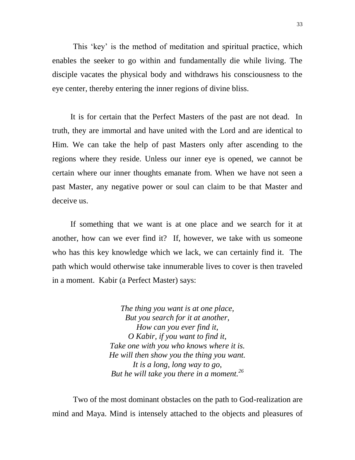This 'key' is the method of meditation and spiritual practice, which enables the seeker to go within and fundamentally die while living. The disciple vacates the physical body and withdraws his consciousness to the eye center, thereby entering the inner regions of divine bliss.

 It is for certain that the Perfect Masters of the past are not dead. In truth, they are immortal and have united with the Lord and are identical to Him. We can take the help of past Masters only after ascending to the regions where they reside. Unless our inner eye is opened, we cannot be certain where our inner thoughts emanate from. When we have not seen a past Master, any negative power or soul can claim to be that Master and deceive us.

 If something that we want is at one place and we search for it at another, how can we ever find it? If, however, we take with us someone who has this key knowledge which we lack, we can certainly find it. The path which would otherwise take innumerable lives to cover is then traveled in a moment. Kabir (a Perfect Master) says:

> *The thing you want is at one place, But you search for it at another, How can you ever find it, O Kabir, if you want to find it, Take one with you who knows where it is. He will then show you the thing you want. It is a long, long way to go, But he will take you there in a moment.<sup>26</sup>*

Two of the most dominant obstacles on the path to God-realization are mind and Maya. Mind is intensely attached to the objects and pleasures of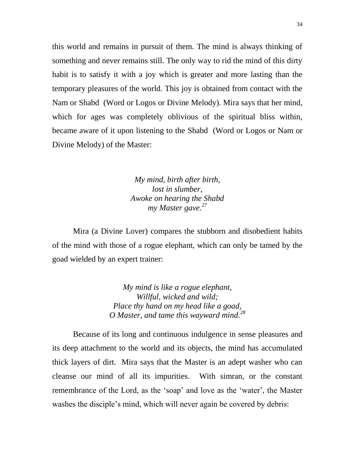this world and remains in pursuit of them. The mind is always thinking of something and never remains still. The only way to rid the mind of this dirty habit is to satisfy it with a joy which is greater and more lasting than the temporary pleasures of the world. This joy is obtained from contact with the Nam or Shabd (Word or Logos or Divine Melody). Mira says that her mind, which for ages was completely oblivious of the spiritual bliss within, became aware of it upon listening to the Shabd (Word or Logos or Nam or Divine Melody) of the Master:

> *My mind, birth after birth, lost in slumber, Awoke on hearing the Shabd my Master gave.<sup>27</sup>*

Mira (a Divine Lover) compares the stubborn and disobedient habits of the mind with those of a rogue elephant, which can only be tamed by the goad wielded by an expert trainer:

> *My mind is like a rogue elephant, Willful, wicked and wild; Place thy hand on my head like a goad, O Master, and tame this wayward mind.<sup>28</sup>*

Because of its long and continuous indulgence in sense pleasures and its deep attachment to the world and its objects, the mind has accumulated thick layers of dirt. Mira says that the Master is an adept washer who can cleanse our mind of all its impurities. With simran, or the constant remembrance of the Lord, as the 'soap' and love as the 'water', the Master washes the disciple's mind, which will never again be covered by debris: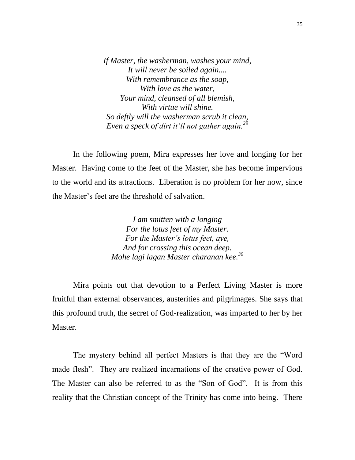*If Master, the washerman, washes your mind, It will never be soiled again.... With remembrance as the soap, With love as the water, Your mind, cleansed of all blemish, With virtue will shine. So deftly will the washerman scrub it clean, Even a speck of dirt it"ll not gather again.<sup>29</sup>*

In the following poem, Mira expresses her love and longing for her Master. Having come to the feet of the Master, she has become impervious to the world and its attractions. Liberation is no problem for her now, since the Master"s feet are the threshold of salvation.

> *I am smitten with a longing For the lotus feet of my Master. For the Master"s lotus feet, aye, And for crossing this ocean deep. Mohe lagi lagan Master charanan kee.<sup>30</sup>*

Mira points out that devotion to a Perfect Living Master is more fruitful than external observances, austerities and pilgrimages. She says that this profound truth, the secret of God-realization, was imparted to her by her Master.

The mystery behind all perfect Masters is that they are the "Word made flesh". They are realized incarnations of the creative power of God. The Master can also be referred to as the "Son of God". It is from this reality that the Christian concept of the Trinity has come into being. There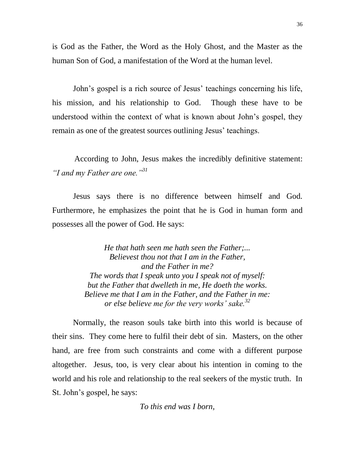is God as the Father, the Word as the Holy Ghost, and the Master as the human Son of God, a manifestation of the Word at the human level.

John's gospel is a rich source of Jesus' teachings concerning his life, his mission, and his relationship to God. Though these have to be understood within the context of what is known about John"s gospel, they remain as one of the greatest sources outlining Jesus' teachings.

 According to John, Jesus makes the incredibly definitive statement: *"I and my Father are one."<sup>31</sup>*

Jesus says there is no difference between himself and God. Furthermore, he emphasizes the point that he is God in human form and possesses all the power of God. He says:

> *He that hath seen me hath seen the Father;... Believest thou not that I am in the Father, and the Father in me? The words that I speak unto you I speak not of myself: but the Father that dwelleth in me, He doeth the works. Believe me that I am in the Father, and the Father in me: or else believe me for the very works" sake.<sup>32</sup>*

Normally, the reason souls take birth into this world is because of their sins. They come here to fulfil their debt of sin. Masters, on the other hand, are free from such constraints and come with a different purpose altogether. Jesus, too, is very clear about his intention in coming to the world and his role and relationship to the real seekers of the mystic truth. In St. John"s gospel, he says:

*To this end was I born,*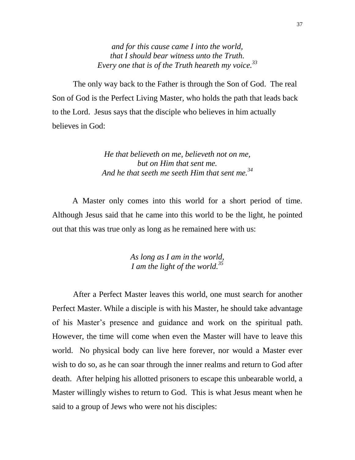*and for this cause came I into the world, that I should bear witness unto the Truth. Every one that is of the Truth heareth my voice.<sup>33</sup>*

The only way back to the Father is through the Son of God. The real Son of God is the Perfect Living Master, who holds the path that leads back to the Lord. Jesus says that the disciple who believes in him actually believes in God:

> *He that believeth on me, believeth not on me, but on Him that sent me. And he that seeth me seeth Him that sent me.<sup>34</sup>*

 A Master only comes into this world for a short period of time. Although Jesus said that he came into this world to be the light, he pointed out that this was true only as long as he remained here with us:

> *As long as I am in the world, I am the light of the world.<sup>35</sup>*

After a Perfect Master leaves this world, one must search for another Perfect Master. While a disciple is with his Master, he should take advantage of his Master"s presence and guidance and work on the spiritual path. However, the time will come when even the Master will have to leave this world. No physical body can live here forever, nor would a Master ever wish to do so, as he can soar through the inner realms and return to God after death. After helping his allotted prisoners to escape this unbearable world, a Master willingly wishes to return to God. This is what Jesus meant when he said to a group of Jews who were not his disciples: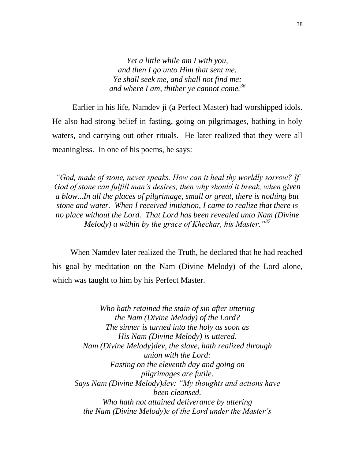*Yet a little while am I with you, and then I go unto Him that sent me. Ye shall seek me, and shall not find me: and where I am, thither ye cannot come.<sup>36</sup>*

 Earlier in his life, Namdev ji (a Perfect Master) had worshipped idols. He also had strong belief in fasting, going on pilgrimages, bathing in holy waters, and carrying out other rituals. He later realized that they were all meaningless. In one of his poems, he says:

*"God, made of stone, never speaks. How can it heal thy worldly sorrow? If God of stone can fulfill man"s desires, then why should it break, when given a blow...In all the places of pilgrimage, small or great, there is nothing but stone and water. When I received initiation, I came to realize that there is no place without the Lord. That Lord has been revealed unto Nam (Divine Melody) a within by the grace of Khechar, his Master."<sup>37</sup>*

 When Namdev later realized the Truth, he declared that he had reached his goal by meditation on the Nam (Divine Melody) of the Lord alone, which was taught to him by his Perfect Master.

*Who hath retained the stain of sin after uttering the Nam (Divine Melody) of the Lord? The sinner is turned into the holy as soon as His Nam (Divine Melody) is uttered. Nam (Divine Melody)dev, the slave, hath realized through union with the Lord: Fasting on the eleventh day and going on pilgrimages are futile. Says Nam (Divine Melody)dev: "My thoughts and actions have been cleansed. Who hath not attained deliverance by uttering the Nam (Divine Melody)e of the Lord under the Master"s*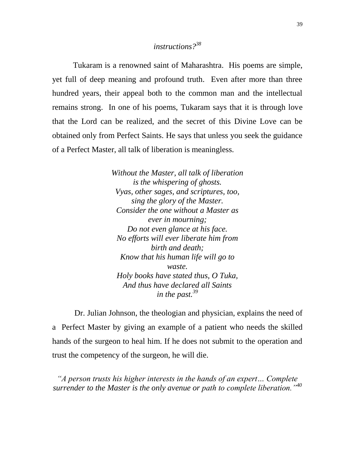### *instructions?<sup>38</sup>*

Tukaram is a renowned saint of Maharashtra. His poems are simple, yet full of deep meaning and profound truth. Even after more than three hundred years, their appeal both to the common man and the intellectual remains strong. In one of his poems, Tukaram says that it is through love that the Lord can be realized, and the secret of this Divine Love can be obtained only from Perfect Saints. He says that unless you seek the guidance of a Perfect Master, all talk of liberation is meaningless.

> *Without the Master, all talk of liberation is the whispering of ghosts. Vyas, other sages, and scriptures, too, sing the glory of the Master. Consider the one without a Master as ever in mourning; Do not even glance at his face. No efforts will ever liberate him from birth and death; Know that his human life will go to waste. Holy books have stated thus, O Tuka, And thus have declared all Saints in the past.<sup>39</sup>*

 Dr. Julian Johnson, the theologian and physician, explains the need of a Perfect Master by giving an example of a patient who needs the skilled hands of the surgeon to heal him. If he does not submit to the operation and trust the competency of the surgeon, he will die.

*"A person trusts his higher interests in the hands of an expert… Complete surrender to the Master is the only avenue or path to complete liberation."<sup>40</sup>*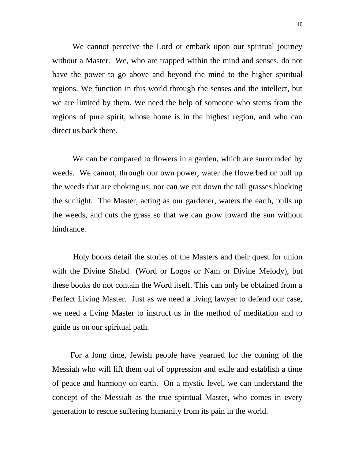We cannot perceive the Lord or embark upon our spiritual journey without a Master. We, who are trapped within the mind and senses, do not have the power to go above and beyond the mind to the higher spiritual regions. We function in this world through the senses and the intellect, but we are limited by them. We need the help of someone who stems from the regions of pure spirit, whose home is in the highest region, and who can direct us back there.

 We can be compared to flowers in a garden, which are surrounded by weeds. We cannot, through our own power, water the flowerbed or pull up the weeds that are choking us; nor can we cut down the tall grasses blocking the sunlight. The Master, acting as our gardener, waters the earth, pulls up the weeds, and cuts the grass so that we can grow toward the sun without hindrance.

Holy books detail the stories of the Masters and their quest for union with the Divine Shabd (Word or Logos or Nam or Divine Melody), but these books do not contain the Word itself. This can only be obtained from a Perfect Living Master. Just as we need a living lawyer to defend our case, we need a living Master to instruct us in the method of meditation and to guide us on our spiritual path.

 For a long time, Jewish people have yearned for the coming of the Messiah who will lift them out of oppression and exile and establish a time of peace and harmony on earth. On a mystic level, we can understand the concept of the Messiah as the true spiritual Master, who comes in every generation to rescue suffering humanity from its pain in the world.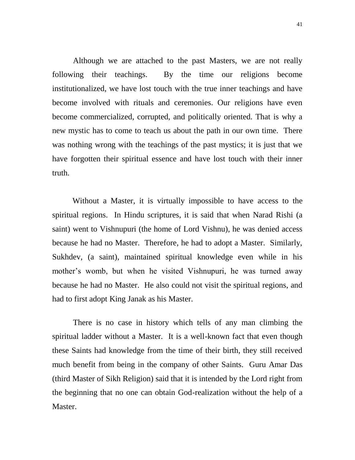Although we are attached to the past Masters, we are not really following their teachings. By the time our religions become institutionalized, we have lost touch with the true inner teachings and have become involved with rituals and ceremonies. Our religions have even become commercialized, corrupted, and politically oriented. That is why a new mystic has to come to teach us about the path in our own time. There was nothing wrong with the teachings of the past mystics; it is just that we have forgotten their spiritual essence and have lost touch with their inner truth.

 Without a Master, it is virtually impossible to have access to the spiritual regions. In Hindu scriptures, it is said that when Narad Rishi (a saint) went to Vishnupuri (the home of Lord Vishnu), he was denied access because he had no Master. Therefore, he had to adopt a Master. Similarly, Sukhdev, (a saint), maintained spiritual knowledge even while in his mother's womb, but when he visited Vishnupuri, he was turned away because he had no Master. He also could not visit the spiritual regions, and had to first adopt King Janak as his Master.

There is no case in history which tells of any man climbing the spiritual ladder without a Master. It is a well-known fact that even though these Saints had knowledge from the time of their birth, they still received much benefit from being in the company of other Saints. Guru Amar Das (third Master of Sikh Religion) said that it is intended by the Lord right from the beginning that no one can obtain God-realization without the help of a Master.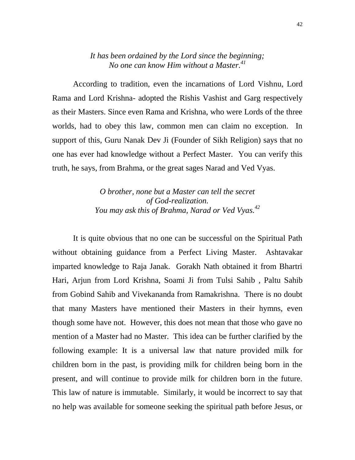#### *It has been ordained by the Lord since the beginning; No one can know Him without a Master.<sup>41</sup>*

According to tradition, even the incarnations of Lord Vishnu, Lord Rama and Lord Krishna- adopted the Rishis Vashist and Garg respectively as their Masters. Since even Rama and Krishna, who were Lords of the three worlds, had to obey this law, common men can claim no exception. In support of this, Guru Nanak Dev Ji (Founder of Sikh Religion) says that no one has ever had knowledge without a Perfect Master. You can verify this truth, he says, from Brahma, or the great sages Narad and Ved Vyas.

> *O brother, none but a Master can tell the secret of God-realization. You may ask this of Brahma, Narad or Ved Vyas.<sup>42</sup>*

It is quite obvious that no one can be successful on the Spiritual Path without obtaining guidance from a Perfect Living Master. Ashtavakar imparted knowledge to Raja Janak. Gorakh Nath obtained it from Bhartri Hari, Arjun from Lord Krishna, Soami Ji from Tulsi Sahib , Paltu Sahib from Gobind Sahib and Vivekananda from Ramakrishna. There is no doubt that many Masters have mentioned their Masters in their hymns, even though some have not. However, this does not mean that those who gave no mention of a Master had no Master. This idea can be further clarified by the following example: It is a universal law that nature provided milk for children born in the past, is providing milk for children being born in the present, and will continue to provide milk for children born in the future. This law of nature is immutable. Similarly, it would be incorrect to say that no help was available for someone seeking the spiritual path before Jesus, or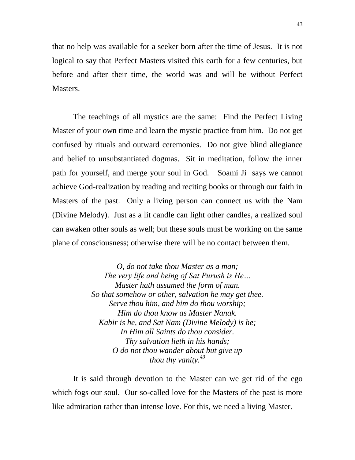that no help was available for a seeker born after the time of Jesus. It is not logical to say that Perfect Masters visited this earth for a few centuries, but before and after their time, the world was and will be without Perfect Masters.

The teachings of all mystics are the same: Find the Perfect Living Master of your own time and learn the mystic practice from him. Do not get confused by rituals and outward ceremonies. Do not give blind allegiance and belief to unsubstantiated dogmas. Sit in meditation, follow the inner path for yourself, and merge your soul in God. Soami Ji says we cannot achieve God-realization by reading and reciting books or through our faith in Masters of the past. Only a living person can connect us with the Nam (Divine Melody). Just as a lit candle can light other candles, a realized soul can awaken other souls as well; but these souls must be working on the same plane of consciousness; otherwise there will be no contact between them.

> *O, do not take thou Master as a man; The very life and being of Sat Purush is He… Master hath assumed the form of man. So that somehow or other, salvation he may get thee. Serve thou him, and him do thou worship; Him do thou know as Master Nanak. Kabir is he, and Sat Nam (Divine Melody) is he; In Him all Saints do thou consider. Thy salvation lieth in his hands; O do not thou wander about but give up thou thy vanity.<sup>43</sup>*

It is said through devotion to the Master can we get rid of the ego which fogs our soul. Our so-called love for the Masters of the past is more like admiration rather than intense love. For this, we need a living Master.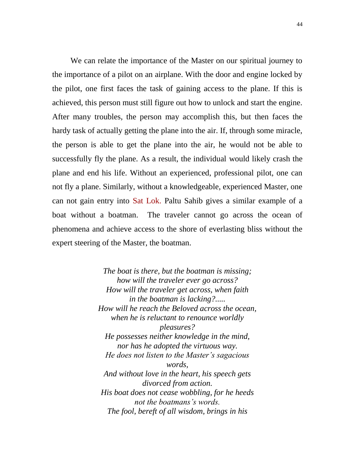We can relate the importance of the Master on our spiritual journey to the importance of a pilot on an airplane. With the door and engine locked by the pilot, one first faces the task of gaining access to the plane. If this is achieved, this person must still figure out how to unlock and start the engine. After many troubles, the person may accomplish this, but then faces the hardy task of actually getting the plane into the air. If, through some miracle, the person is able to get the plane into the air, he would not be able to successfully fly the plane. As a result, the individual would likely crash the plane and end his life. Without an experienced, professional pilot, one can not fly a plane. Similarly, without a knowledgeable, experienced Master, one can not gain entry into Sat Lok. Paltu Sahib gives a similar example of a boat without a boatman. The traveler cannot go across the ocean of phenomena and achieve access to the shore of everlasting bliss without the expert steering of the Master, the boatman.

> *The boat is there, but the boatman is missing; how will the traveler ever go across? How will the traveler get across, when faith in the boatman is lacking?..... How will he reach the Beloved across the ocean, when he is reluctant to renounce worldly pleasures? He possesses neither knowledge in the mind, nor has he adopted the virtuous way. He does not listen to the Master"s sagacious words, And without love in the heart, his speech gets divorced from action. His boat does not cease wobbling, for he heeds not the boatmans"s words. The fool, bereft of all wisdom, brings in his*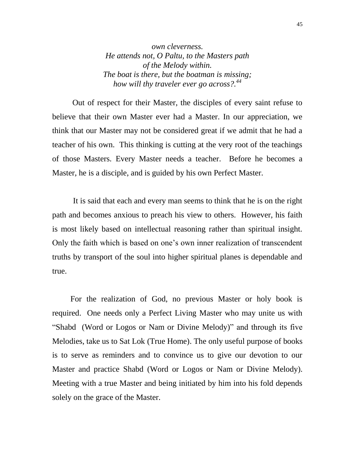*own cleverness. He attends not, O Paltu, to the Masters path of the Melody within. The boat is there, but the boatman is missing; how will thy traveler ever go across?.<sup>44</sup>*

 Out of respect for their Master, the disciples of every saint refuse to believe that their own Master ever had a Master. In our appreciation, we think that our Master may not be considered great if we admit that he had a teacher of his own. This thinking is cutting at the very root of the teachings of those Masters. Every Master needs a teacher. Before he becomes a Master, he is a disciple, and is guided by his own Perfect Master.

It is said that each and every man seems to think that he is on the right path and becomes anxious to preach his view to others. However, his faith is most likely based on intellectual reasoning rather than spiritual insight. Only the faith which is based on one"s own inner realization of transcendent truths by transport of the soul into higher spiritual planes is dependable and true.

 For the realization of God, no previous Master or holy book is required. One needs only a Perfect Living Master who may unite us with "Shabd (Word or Logos or Nam or Divine Melody)" and through its five Melodies, take us to Sat Lok (True Home). The only useful purpose of books is to serve as reminders and to convince us to give our devotion to our Master and practice Shabd (Word or Logos or Nam or Divine Melody). Meeting with a true Master and being initiated by him into his fold depends solely on the grace of the Master.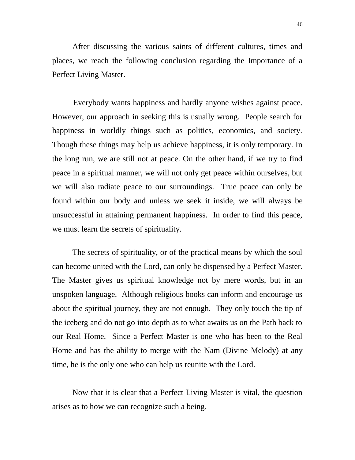After discussing the various saints of different cultures, times and places, we reach the following conclusion regarding the Importance of a Perfect Living Master.

Everybody wants happiness and hardly anyone wishes against peace. However, our approach in seeking this is usually wrong. People search for happiness in worldly things such as politics, economics, and society. Though these things may help us achieve happiness, it is only temporary. In the long run, we are still not at peace. On the other hand, if we try to find peace in a spiritual manner, we will not only get peace within ourselves, but we will also radiate peace to our surroundings. True peace can only be found within our body and unless we seek it inside, we will always be unsuccessful in attaining permanent happiness. In order to find this peace, we must learn the secrets of spirituality.

 The secrets of spirituality, or of the practical means by which the soul can become united with the Lord, can only be dispensed by a Perfect Master. The Master gives us spiritual knowledge not by mere words, but in an unspoken language. Although religious books can inform and encourage us about the spiritual journey, they are not enough. They only touch the tip of the iceberg and do not go into depth as to what awaits us on the Path back to our Real Home. Since a Perfect Master is one who has been to the Real Home and has the ability to merge with the Nam (Divine Melody) at any time, he is the only one who can help us reunite with the Lord.

 Now that it is clear that a Perfect Living Master is vital, the question arises as to how we can recognize such a being.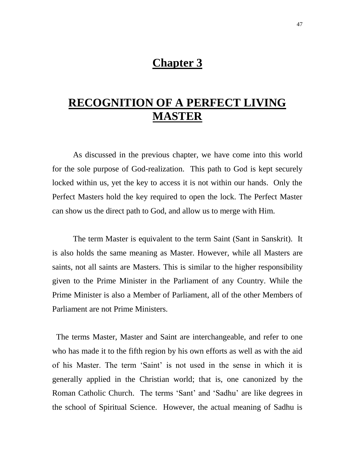## **Chapter 3**

# **RECOGNITION OF A PERFECT LIVING MASTER**

As discussed in the previous chapter, we have come into this world for the sole purpose of God-realization. This path to God is kept securely locked within us, yet the key to access it is not within our hands. Only the Perfect Masters hold the key required to open the lock. The Perfect Master can show us the direct path to God, and allow us to merge with Him.

The term Master is equivalent to the term Saint (Sant in Sanskrit). It is also holds the same meaning as Master. However, while all Masters are saints, not all saints are Masters. This is similar to the higher responsibility given to the Prime Minister in the Parliament of any Country. While the Prime Minister is also a Member of Parliament, all of the other Members of Parliament are not Prime Ministers.

 The terms Master, Master and Saint are interchangeable, and refer to one who has made it to the fifth region by his own efforts as well as with the aid of his Master. The term "Saint" is not used in the sense in which it is generally applied in the Christian world; that is, one canonized by the Roman Catholic Church. The terms "Sant" and "Sadhu" are like degrees in the school of Spiritual Science. However, the actual meaning of Sadhu is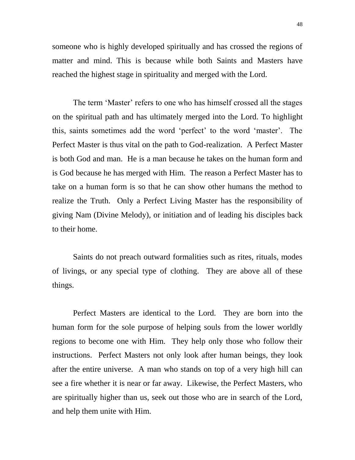48

someone who is highly developed spiritually and has crossed the regions of matter and mind. This is because while both Saints and Masters have reached the highest stage in spirituality and merged with the Lord.

The term 'Master' refers to one who has himself crossed all the stages on the spiritual path and has ultimately merged into the Lord. To highlight this, saints sometimes add the word "perfect" to the word "master". The Perfect Master is thus vital on the path to God-realization. A Perfect Master is both God and man. He is a man because he takes on the human form and is God because he has merged with Him. The reason a Perfect Master has to take on a human form is so that he can show other humans the method to realize the Truth. Only a Perfect Living Master has the responsibility of giving Nam (Divine Melody), or initiation and of leading his disciples back to their home.

Saints do not preach outward formalities such as rites, rituals, modes of livings, or any special type of clothing. They are above all of these things.

Perfect Masters are identical to the Lord. They are born into the human form for the sole purpose of helping souls from the lower worldly regions to become one with Him. They help only those who follow their instructions. Perfect Masters not only look after human beings, they look after the entire universe. A man who stands on top of a very high hill can see a fire whether it is near or far away. Likewise, the Perfect Masters, who are spiritually higher than us, seek out those who are in search of the Lord, and help them unite with Him.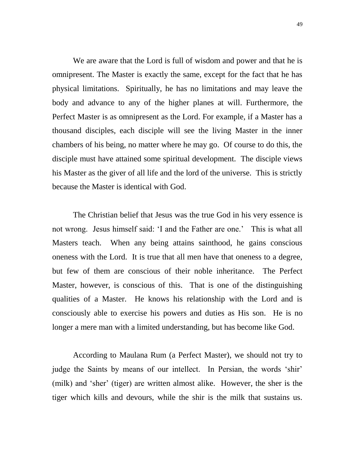We are aware that the Lord is full of wisdom and power and that he is omnipresent. The Master is exactly the same, except for the fact that he has physical limitations. Spiritually, he has no limitations and may leave the body and advance to any of the higher planes at will. Furthermore, the Perfect Master is as omnipresent as the Lord. For example, if a Master has a thousand disciples, each disciple will see the living Master in the inner chambers of his being, no matter where he may go. Of course to do this, the disciple must have attained some spiritual development. The disciple views his Master as the giver of all life and the lord of the universe. This is strictly because the Master is identical with God.

The Christian belief that Jesus was the true God in his very essence is not wrong. Jesus himself said: 'I and the Father are one.' This is what all Masters teach. When any being attains sainthood, he gains conscious oneness with the Lord. It is true that all men have that oneness to a degree, but few of them are conscious of their noble inheritance. The Perfect Master, however, is conscious of this. That is one of the distinguishing qualities of a Master. He knows his relationship with the Lord and is consciously able to exercise his powers and duties as His son. He is no longer a mere man with a limited understanding, but has become like God.

According to Maulana Rum (a Perfect Master), we should not try to judge the Saints by means of our intellect. In Persian, the words 'shir' (milk) and 'sher' (tiger) are written almost alike. However, the sher is the tiger which kills and devours, while the shir is the milk that sustains us.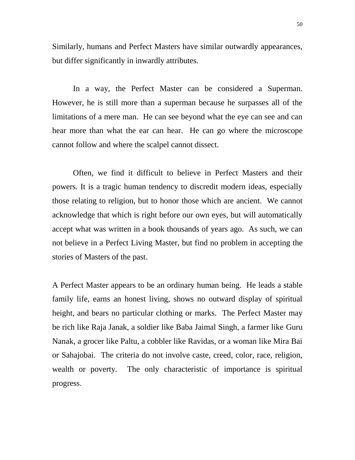Similarly, humans and Perfect Masters have similar outwardly appearances, but differ significantly in inwardly attributes.

In a way, the Perfect Master can be considered a Superman. However, he is still more than a superman because he surpasses all of the limitations of a mere man. He can see beyond what the eye can see and can hear more than what the ear can hear. He can go where the microscope cannot follow and where the scalpel cannot dissect.

Often, we find it difficult to believe in Perfect Masters and their powers. It is a tragic human tendency to discredit modern ideas, especially those relating to religion, but to honor those which are ancient. We cannot acknowledge that which is right before our own eyes, but will automatically accept what was written in a book thousands of years ago. As such, we can not believe in a Perfect Living Master, but find no problem in accepting the stories of Masters of the past.

A Perfect Master appears to be an ordinary human being. He leads a stable family life, earns an honest living, shows no outward display of spiritual height, and bears no particular clothing or marks. The Perfect Master may be rich like Raja Janak, a soldier like Baba Jaimal Singh, a farmer like Guru Nanak, a grocer like Paltu, a cobbler like Ravidas, or a woman like Mira Bai or Sahajobai. The criteria do not involve caste, creed, color, race, religion, wealth or poverty. The only characteristic of importance is spiritual progress.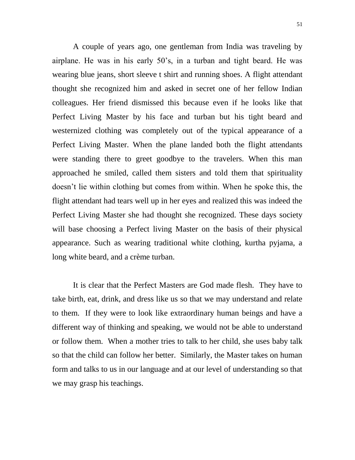A couple of years ago, one gentleman from India was traveling by airplane. He was in his early 50"s, in a turban and tight beard. He was wearing blue jeans, short sleeve t shirt and running shoes. A flight attendant thought she recognized him and asked in secret one of her fellow Indian colleagues. Her friend dismissed this because even if he looks like that Perfect Living Master by his face and turban but his tight beard and westernized clothing was completely out of the typical appearance of a Perfect Living Master. When the plane landed both the flight attendants were standing there to greet goodbye to the travelers. When this man approached he smiled, called them sisters and told them that spirituality doesn"t lie within clothing but comes from within. When he spoke this, the flight attendant had tears well up in her eyes and realized this was indeed the Perfect Living Master she had thought she recognized. These days society will base choosing a Perfect living Master on the basis of their physical appearance. Such as wearing traditional white clothing, kurtha pyjama, a long white beard, and a crème turban.

It is clear that the Perfect Masters are God made flesh. They have to take birth, eat, drink, and dress like us so that we may understand and relate to them. If they were to look like extraordinary human beings and have a different way of thinking and speaking, we would not be able to understand or follow them. When a mother tries to talk to her child, she uses baby talk so that the child can follow her better. Similarly, the Master takes on human form and talks to us in our language and at our level of understanding so that we may grasp his teachings.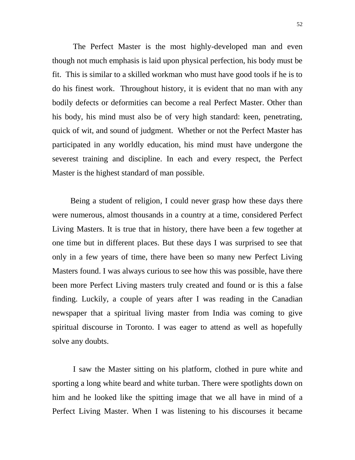The Perfect Master is the most highly-developed man and even though not much emphasis is laid upon physical perfection, his body must be fit. This is similar to a skilled workman who must have good tools if he is to do his finest work. Throughout history, it is evident that no man with any bodily defects or deformities can become a real Perfect Master. Other than his body, his mind must also be of very high standard: keen, penetrating, quick of wit, and sound of judgment. Whether or not the Perfect Master has participated in any worldly education, his mind must have undergone the severest training and discipline. In each and every respect, the Perfect Master is the highest standard of man possible.

 Being a student of religion, I could never grasp how these days there were numerous, almost thousands in a country at a time, considered Perfect Living Masters. It is true that in history, there have been a few together at one time but in different places. But these days I was surprised to see that only in a few years of time, there have been so many new Perfect Living Masters found. I was always curious to see how this was possible, have there been more Perfect Living masters truly created and found or is this a false finding. Luckily, a couple of years after I was reading in the Canadian newspaper that a spiritual living master from India was coming to give spiritual discourse in Toronto. I was eager to attend as well as hopefully solve any doubts.

I saw the Master sitting on his platform, clothed in pure white and sporting a long white beard and white turban. There were spotlights down on him and he looked like the spitting image that we all have in mind of a Perfect Living Master. When I was listening to his discourses it became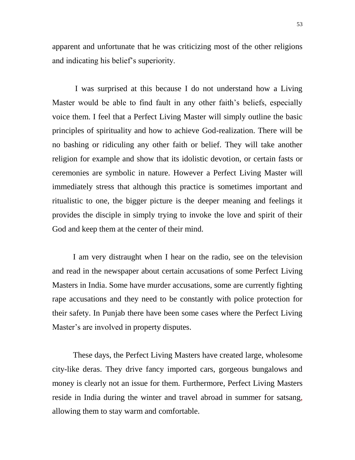apparent and unfortunate that he was criticizing most of the other religions and indicating his belief"s superiority.

I was surprised at this because I do not understand how a Living Master would be able to find fault in any other faith's beliefs, especially voice them. I feel that a Perfect Living Master will simply outline the basic principles of spirituality and how to achieve God-realization. There will be no bashing or ridiculing any other faith or belief. They will take another religion for example and show that its idolistic devotion, or certain fasts or ceremonies are symbolic in nature. However a Perfect Living Master will immediately stress that although this practice is sometimes important and ritualistic to one, the bigger picture is the deeper meaning and feelings it provides the disciple in simply trying to invoke the love and spirit of their God and keep them at the center of their mind.

I am very distraught when I hear on the radio, see on the television and read in the newspaper about certain accusations of some Perfect Living Masters in India. Some have murder accusations, some are currently fighting rape accusations and they need to be constantly with police protection for their safety. In Punjab there have been some cases where the Perfect Living Master's are involved in property disputes.

These days, the Perfect Living Masters have created large, wholesome city-like deras. They drive fancy imported cars, gorgeous bungalows and money is clearly not an issue for them. Furthermore, Perfect Living Masters reside in India during the winter and travel abroad in summer for satsang, allowing them to stay warm and comfortable.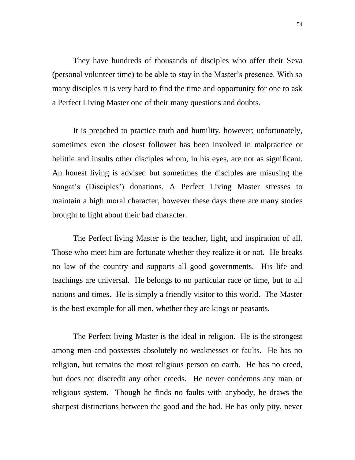They have hundreds of thousands of disciples who offer their Seva (personal volunteer time) to be able to stay in the Master"s presence. With so many disciples it is very hard to find the time and opportunity for one to ask a Perfect Living Master one of their many questions and doubts.

It is preached to practice truth and humility, however; unfortunately, sometimes even the closest follower has been involved in malpractice or belittle and insults other disciples whom, in his eyes, are not as significant. An honest living is advised but sometimes the disciples are misusing the Sangat's (Disciples') donations. A Perfect Living Master stresses to maintain a high moral character, however these days there are many stories brought to light about their bad character.

The Perfect living Master is the teacher, light, and inspiration of all. Those who meet him are fortunate whether they realize it or not. He breaks no law of the country and supports all good governments. His life and teachings are universal. He belongs to no particular race or time, but to all nations and times. He is simply a friendly visitor to this world. The Master is the best example for all men, whether they are kings or peasants.

The Perfect living Master is the ideal in religion. He is the strongest among men and possesses absolutely no weaknesses or faults. He has no religion, but remains the most religious person on earth. He has no creed, but does not discredit any other creeds. He never condemns any man or religious system. Though he finds no faults with anybody, he draws the sharpest distinctions between the good and the bad. He has only pity, never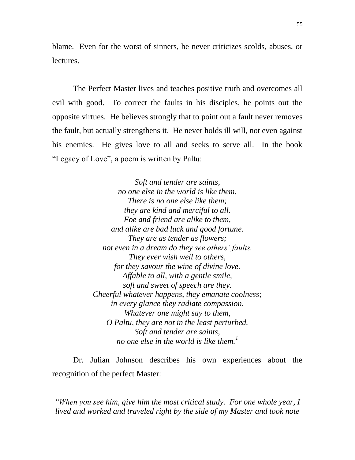blame. Even for the worst of sinners, he never criticizes scolds, abuses, or lectures.

The Perfect Master lives and teaches positive truth and overcomes all evil with good. To correct the faults in his disciples, he points out the opposite virtues. He believes strongly that to point out a fault never removes the fault, but actually strengthens it. He never holds ill will, not even against his enemies. He gives love to all and seeks to serve all. In the book "Legacy of Love", a poem is written by Paltu:

> *Soft and tender are saints, no one else in the world is like them. There is no one else like them; they are kind and merciful to all. Foe and friend are alike to them, and alike are bad luck and good fortune. They are as tender as flowers; not even in a dream do they see others" faults. They ever wish well to others, for they savour the wine of divine love. Affable to all, with a gentle smile, soft and sweet of speech are they. Cheerful whatever happens, they emanate coolness; in every glance they radiate compassion. Whatever one might say to them, O Paltu, they are not in the least perturbed. Soft and tender are saints, no one else in the world is like them.<sup>1</sup>*

Dr. Julian Johnson describes his own experiences about the recognition of the perfect Master:

*"When you see him, give him the most critical study. For one whole year, I lived and worked and traveled right by the side of my Master and took note*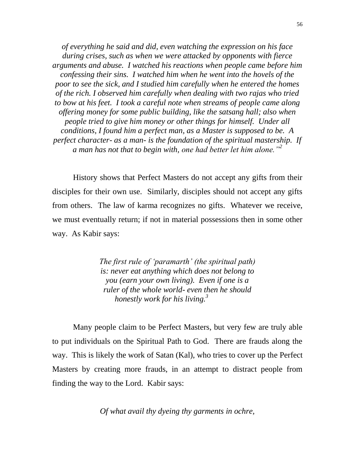*of everything he said and did, even watching the expression on his face during crises, such as when we were attacked by opponents with fierce arguments and abuse. I watched his reactions when people came before him confessing their sins. I watched him when he went into the hovels of the poor to see the sick, and I studied him carefully when he entered the homes of the rich. I observed him carefully when dealing with two rajas who tried to bow at his feet. I took a careful note when streams of people came along offering money for some public building, like the satsang hall; also when people tried to give him money or other things for himself. Under all conditions, I found him a perfect man, as a Master is supposed to be. A perfect character- as a man- is the foundation of the spiritual mastership. If a man has not that to begin with, one had better let him alone."<sup>2</sup>*

History shows that Perfect Masters do not accept any gifts from their disciples for their own use. Similarly, disciples should not accept any gifts from others. The law of karma recognizes no gifts. Whatever we receive, we must eventually return; if not in material possessions then in some other way. As Kabir says:

> *The first rule of "paramarth" (the spiritual path) is: never eat anything which does not belong to you (earn your own living). Even if one is a ruler of the whole world- even then he should honestly work for his living.<sup>3</sup>*

Many people claim to be Perfect Masters, but very few are truly able to put individuals on the Spiritual Path to God. There are frauds along the way. This is likely the work of Satan (Kal), who tries to cover up the Perfect Masters by creating more frauds, in an attempt to distract people from finding the way to the Lord. Kabir says:

*Of what avail thy dyeing thy garments in ochre,*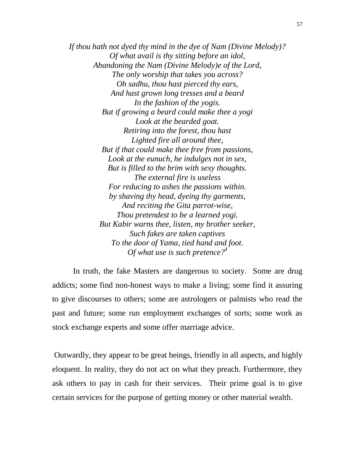*If thou hath not dyed thy mind in the dye of Nam (Divine Melody)? Of what avail is thy sitting before an idol, Abandoning the Nam (Divine Melody)e of the Lord, The only worship that takes you across? Oh sadhu, thou hast pierced thy ears, And hast grown long tresses and a beard In the fashion of the yogis. But if growing a beard could make thee a yogi Look at the bearded goat. Retiring into the forest, thou hast Lighted fire all around thee, But if that could make thee free from passions, Look at the eunuch, he indulges not in sex, But is filled to the brim with sexy thoughts. The external fire is useless For reducing to ashes the passions within. by shaving thy head, dyeing thy garments, And reciting the Gita parrot-wise, Thou pretendest to be a learned yogi. But Kabir warns thee, listen, my brother seeker, Such fakes are taken captives To the door of Yama, tied hand and foot. Of what use is such pretence?<sup>4</sup>*

In truth, the fake Masters are dangerous to society. Some are drug addicts; some find non-honest ways to make a living; some find it assuring to give discourses to others; some are astrologers or palmists who read the past and future; some run employment exchanges of sorts; some work as stock exchange experts and some offer marriage advice.

Outwardly, they appear to be great beings, friendly in all aspects, and highly eloquent. In reality, they do not act on what they preach. Furthermore, they ask others to pay in cash for their services. Their prime goal is to give certain services for the purpose of getting money or other material wealth.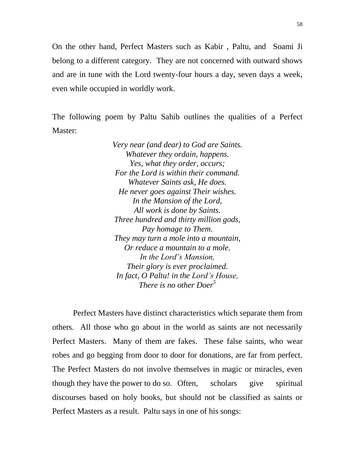On the other hand, Perfect Masters such as Kabir , Paltu, and Soami Ji belong to a different category. They are not concerned with outward shows and are in tune with the Lord twenty-four hours a day, seven days a week, even while occupied in worldly work.

The following poem by Paltu Sahib outlines the qualities of a Perfect Master:

> *Very near (and dear) to God are Saints. Whatever they ordain, happens. Yes, what they order, occurs; For the Lord is within their command. Whatever Saints ask, He does. He never goes against Their wishes. In the Mansion of the Lord, All work is done by Saints. Three hundred and thirty million gods, Pay homage to Them. They may turn a mole into a mountain, Or reduce a mountain to a mole. In the Lord"s Mansion, Their glory is ever proclaimed. In fact, O Paltu! in the Lord"s House, There is no other Doer<sup>5</sup>*

Perfect Masters have distinct characteristics which separate them from others. All those who go about in the world as saints are not necessarily Perfect Masters. Many of them are fakes. These false saints, who wear robes and go begging from door to door for donations, are far from perfect. The Perfect Masters do not involve themselves in magic or miracles, even though they have the power to do so. Often, scholars give spiritual discourses based on holy books, but should not be classified as saints or Perfect Masters as a result. Paltu says in one of his songs: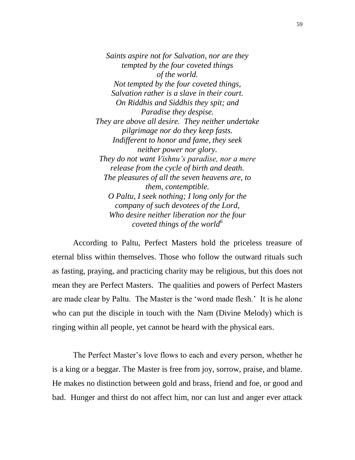*Saints aspire not for Salvation, nor are they tempted by the four coveted things of the world. Not tempted by the four coveted things, Salvation rather is a slave in their court. On Riddhis and Siddhis they spit; and Paradise they despise. They are above all desire. They neither undertake pilgrimage nor do they keep fasts. Indifferent to honor and fame, they seek neither power nor glory. They do not want Vishnu"s paradise, nor a mere release from the cycle of birth and death. The pleasures of all the seven heavens are, to them, contemptible. O Paltu, I seek nothing; I long only for the company of such devotees of the Lord, Who desire neither liberation nor the four coveted things of the world<sup>6</sup>*

According to Paltu, Perfect Masters hold the priceless treasure of eternal bliss within themselves. Those who follow the outward rituals such as fasting, praying, and practicing charity may be religious, but this does not mean they are Perfect Masters. The qualities and powers of Perfect Masters are made clear by Paltu. The Master is the "word made flesh." It is he alone who can put the disciple in touch with the Nam (Divine Melody) which is ringing within all people, yet cannot be heard with the physical ears.

The Perfect Master's love flows to each and every person, whether he is a king or a beggar. The Master is free from joy, sorrow, praise, and blame. He makes no distinction between gold and brass, friend and foe, or good and bad. Hunger and thirst do not affect him, nor can lust and anger ever attack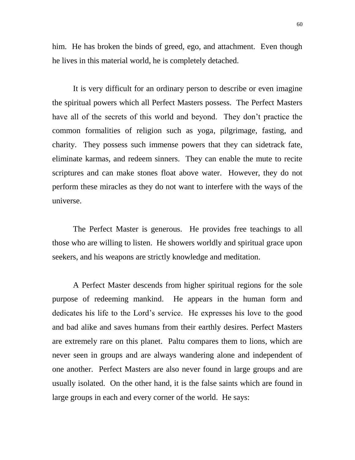him. He has broken the binds of greed, ego, and attachment. Even though he lives in this material world, he is completely detached.

It is very difficult for an ordinary person to describe or even imagine the spiritual powers which all Perfect Masters possess. The Perfect Masters have all of the secrets of this world and beyond. They don"t practice the common formalities of religion such as yoga, pilgrimage, fasting, and charity. They possess such immense powers that they can sidetrack fate, eliminate karmas, and redeem sinners. They can enable the mute to recite scriptures and can make stones float above water. However, they do not perform these miracles as they do not want to interfere with the ways of the universe.

The Perfect Master is generous. He provides free teachings to all those who are willing to listen. He showers worldly and spiritual grace upon seekers, and his weapons are strictly knowledge and meditation.

A Perfect Master descends from higher spiritual regions for the sole purpose of redeeming mankind. He appears in the human form and dedicates his life to the Lord"s service. He expresses his love to the good and bad alike and saves humans from their earthly desires. Perfect Masters are extremely rare on this planet. Paltu compares them to lions, which are never seen in groups and are always wandering alone and independent of one another. Perfect Masters are also never found in large groups and are usually isolated. On the other hand, it is the false saints which are found in large groups in each and every corner of the world. He says: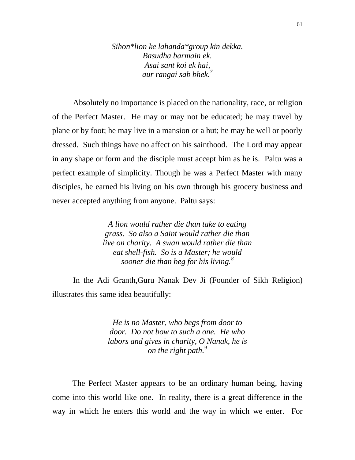*Sihon\*lion ke lahanda\*group kin dekka. Basudha barmain ek. Asai sant koi ek hai, aur rangai sab bhek.<sup>7</sup>*

Absolutely no importance is placed on the nationality, race, or religion of the Perfect Master. He may or may not be educated; he may travel by plane or by foot; he may live in a mansion or a hut; he may be well or poorly dressed. Such things have no affect on his sainthood. The Lord may appear in any shape or form and the disciple must accept him as he is. Paltu was a perfect example of simplicity. Though he was a Perfect Master with many disciples, he earned his living on his own through his grocery business and never accepted anything from anyone. Paltu says:

> *A lion would rather die than take to eating grass. So also a Saint would rather die than live on charity. A swan would rather die than eat shell-fish. So is a Master; he would sooner die than beg for his living.<sup>8</sup>*

In the Adi Granth,Guru Nanak Dev Ji (Founder of Sikh Religion) illustrates this same idea beautifully:

> *He is no Master, who begs from door to door. Do not bow to such a one. He who labors and gives in charity, O Nanak, he is on the right path.<sup>9</sup>*

 The Perfect Master appears to be an ordinary human being, having come into this world like one. In reality, there is a great difference in the way in which he enters this world and the way in which we enter. For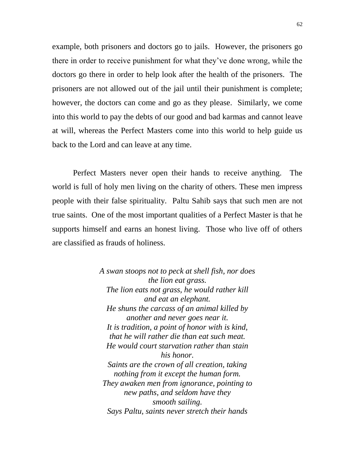example, both prisoners and doctors go to jails. However, the prisoners go there in order to receive punishment for what they"ve done wrong, while the doctors go there in order to help look after the health of the prisoners. The prisoners are not allowed out of the jail until their punishment is complete; however, the doctors can come and go as they please. Similarly, we come into this world to pay the debts of our good and bad karmas and cannot leave at will, whereas the Perfect Masters come into this world to help guide us back to the Lord and can leave at any time.

Perfect Masters never open their hands to receive anything. The world is full of holy men living on the charity of others. These men impress people with their false spirituality. Paltu Sahib says that such men are not true saints. One of the most important qualities of a Perfect Master is that he supports himself and earns an honest living. Those who live off of others are classified as frauds of holiness.

> *A swan stoops not to peck at shell fish, nor does the lion eat grass. The lion eats not grass, he would rather kill and eat an elephant. He shuns the carcass of an animal killed by another and never goes near it. It is tradition, a point of honor with is kind, that he will rather die than eat such meat. He would court starvation rather than stain his honor. Saints are the crown of all creation, taking nothing from it except the human form. They awaken men from ignorance, pointing to new paths, and seldom have they smooth sailing. Says Paltu, saints never stretch their hands*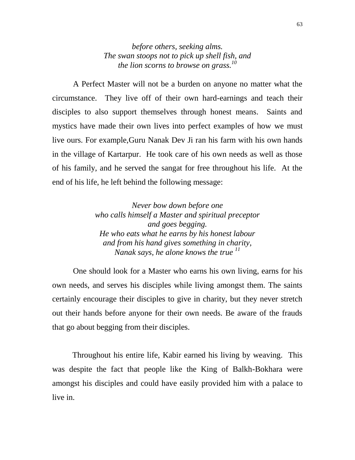*before others, seeking alms. The swan stoops not to pick up shell fish, and the lion scorns to browse on grass.<sup>10</sup>*

A Perfect Master will not be a burden on anyone no matter what the circumstance. They live off of their own hard-earnings and teach their disciples to also support themselves through honest means. Saints and mystics have made their own lives into perfect examples of how we must live ours. For example,Guru Nanak Dev Ji ran his farm with his own hands in the village of Kartarpur. He took care of his own needs as well as those of his family, and he served the sangat for free throughout his life. At the end of his life, he left behind the following message:

> *Never bow down before one who calls himself a Master and spiritual preceptor and goes begging. He who eats what he earns by his honest labour and from his hand gives something in charity, Nanak says, he alone knows the true <sup>11</sup>*

One should look for a Master who earns his own living, earns for his own needs, and serves his disciples while living amongst them. The saints certainly encourage their disciples to give in charity, but they never stretch out their hands before anyone for their own needs. Be aware of the frauds that go about begging from their disciples.

 Throughout his entire life, Kabir earned his living by weaving. This was despite the fact that people like the King of Balkh-Bokhara were amongst his disciples and could have easily provided him with a palace to live in.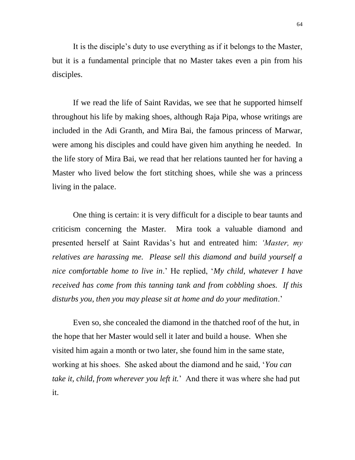It is the disciple"s duty to use everything as if it belongs to the Master, but it is a fundamental principle that no Master takes even a pin from his disciples.

If we read the life of Saint Ravidas, we see that he supported himself throughout his life by making shoes, although Raja Pipa, whose writings are included in the Adi Granth, and Mira Bai, the famous princess of Marwar, were among his disciples and could have given him anything he needed. In the life story of Mira Bai, we read that her relations taunted her for having a Master who lived below the fort stitching shoes, while she was a princess living in the palace.

One thing is certain: it is very difficult for a disciple to bear taunts and criticism concerning the Master. Mira took a valuable diamond and presented herself at Saint Ravidas"s hut and entreated him: *"Master, my relatives are harassing me. Please sell this diamond and build yourself a nice comfortable home to live in*." He replied, "*My child, whatever I have received has come from this tanning tank and from cobbling shoes. If this disturbs you, then you may please sit at home and do your meditation*."

Even so, she concealed the diamond in the thatched roof of the hut, in the hope that her Master would sell it later and build a house. When she visited him again a month or two later, she found him in the same state, working at his shoes. She asked about the diamond and he said, "*You can take it, child, from wherever you left it.*" And there it was where she had put it.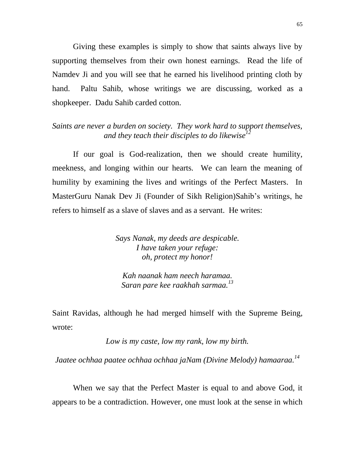Giving these examples is simply to show that saints always live by supporting themselves from their own honest earnings. Read the life of Namdev Ji and you will see that he earned his livelihood printing cloth by hand. Paltu Sahib, whose writings we are discussing, worked as a shopkeeper. Dadu Sahib carded cotton.

### *Saints are never a burden on society. They work hard to support themselves, and they teach their disciples to do likewise<sup>12</sup>*

If our goal is God-realization, then we should create humility, meekness, and longing within our hearts. We can learn the meaning of humility by examining the lives and writings of the Perfect Masters. In MasterGuru Nanak Dev Ji (Founder of Sikh Religion)Sahib"s writings, he refers to himself as a slave of slaves and as a servant. He writes:

> *Says Nanak, my deeds are despicable. I have taken your refuge: oh, protect my honor!*

*Kah naanak ham neech haramaa. Saran pare kee raakhah sarmaa.<sup>13</sup>*

Saint Ravidas, although he had merged himself with the Supreme Being, wrote:

*Low is my caste, low my rank, low my birth.*

*Jaatee ochhaa paatee ochhaa ochhaa jaNam (Divine Melody) hamaaraa.<sup>14</sup>*

When we say that the Perfect Master is equal to and above God, it appears to be a contradiction. However, one must look at the sense in which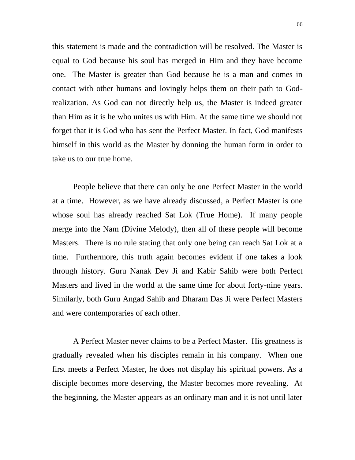this statement is made and the contradiction will be resolved. The Master is equal to God because his soul has merged in Him and they have become one. The Master is greater than God because he is a man and comes in contact with other humans and lovingly helps them on their path to Godrealization. As God can not directly help us, the Master is indeed greater than Him as it is he who unites us with Him. At the same time we should not forget that it is God who has sent the Perfect Master. In fact, God manifests himself in this world as the Master by donning the human form in order to take us to our true home.

People believe that there can only be one Perfect Master in the world at a time. However, as we have already discussed, a Perfect Master is one whose soul has already reached Sat Lok (True Home). If many people merge into the Nam (Divine Melody), then all of these people will become Masters. There is no rule stating that only one being can reach Sat Lok at a time. Furthermore, this truth again becomes evident if one takes a look through history. Guru Nanak Dev Ji and Kabir Sahib were both Perfect Masters and lived in the world at the same time for about forty-nine years. Similarly, both Guru Angad Sahib and Dharam Das Ji were Perfect Masters and were contemporaries of each other.

A Perfect Master never claims to be a Perfect Master. His greatness is gradually revealed when his disciples remain in his company. When one first meets a Perfect Master, he does not display his spiritual powers. As a disciple becomes more deserving, the Master becomes more revealing. At the beginning, the Master appears as an ordinary man and it is not until later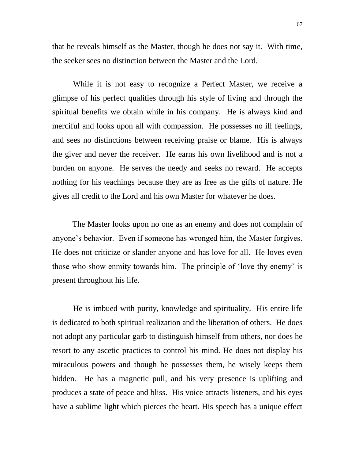that he reveals himself as the Master, though he does not say it. With time, the seeker sees no distinction between the Master and the Lord.

While it is not easy to recognize a Perfect Master, we receive a glimpse of his perfect qualities through his style of living and through the spiritual benefits we obtain while in his company. He is always kind and merciful and looks upon all with compassion. He possesses no ill feelings, and sees no distinctions between receiving praise or blame. His is always the giver and never the receiver. He earns his own livelihood and is not a burden on anyone. He serves the needy and seeks no reward. He accepts nothing for his teachings because they are as free as the gifts of nature. He gives all credit to the Lord and his own Master for whatever he does.

 The Master looks upon no one as an enemy and does not complain of anyone"s behavior. Even if someone has wronged him, the Master forgives. He does not criticize or slander anyone and has love for all. He loves even those who show enmity towards him. The principle of 'love thy enemy' is present throughout his life.

He is imbued with purity, knowledge and spirituality. His entire life is dedicated to both spiritual realization and the liberation of others. He does not adopt any particular garb to distinguish himself from others, nor does he resort to any ascetic practices to control his mind. He does not display his miraculous powers and though he possesses them, he wisely keeps them hidden. He has a magnetic pull, and his very presence is uplifting and produces a state of peace and bliss. His voice attracts listeners, and his eyes have a sublime light which pierces the heart. His speech has a unique effect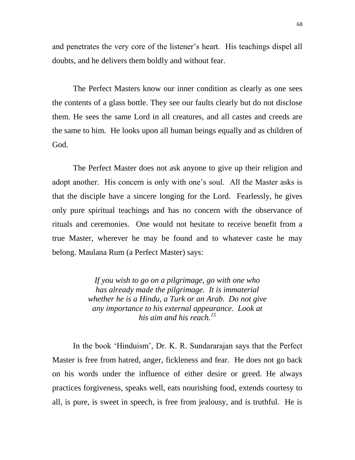and penetrates the very core of the listener"s heart. His teachings dispel all doubts, and he delivers them boldly and without fear.

The Perfect Masters know our inner condition as clearly as one sees the contents of a glass bottle. They see our faults clearly but do not disclose them. He sees the same Lord in all creatures, and all castes and creeds are the same to him. He looks upon all human beings equally and as children of God.

The Perfect Master does not ask anyone to give up their religion and adopt another. His concern is only with one"s soul. All the Master asks is that the disciple have a sincere longing for the Lord. Fearlessly, he gives only pure spiritual teachings and has no concern with the observance of rituals and ceremonies. One would not hesitate to receive benefit from a true Master, wherever he may be found and to whatever caste he may belong. Maulana Rum (a Perfect Master) says:

> *If you wish to go on a pilgrimage, go with one who has already made the pilgrimage. It is immaterial whether he is a Hindu, a Turk or an Arab. Do not give any importance to his external appearance. Look at his aim and his reach.<sup>15</sup>*

In the book "Hinduism", Dr. K. R. Sundararajan says that the Perfect Master is free from hatred, anger, fickleness and fear. He does not go back on his words under the influence of either desire or greed. He always practices forgiveness, speaks well, eats nourishing food, extends courtesy to all, is pure, is sweet in speech, is free from jealousy, and is truthful. He is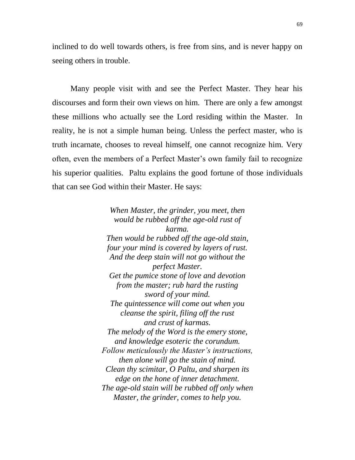inclined to do well towards others, is free from sins, and is never happy on seeing others in trouble.

 Many people visit with and see the Perfect Master. They hear his discourses and form their own views on him. There are only a few amongst these millions who actually see the Lord residing within the Master. In reality, he is not a simple human being. Unless the perfect master, who is truth incarnate, chooses to reveal himself, one cannot recognize him. Very often, even the members of a Perfect Master's own family fail to recognize his superior qualities. Paltu explains the good fortune of those individuals that can see God within their Master. He says:

> *When Master, the grinder, you meet, then would be rubbed off the age-old rust of karma. Then would be rubbed off the age-old stain, four your mind is covered by layers of rust. And the deep stain will not go without the perfect Master. Get the pumice stone of love and devotion from the master; rub hard the rusting sword of your mind. The quintessence will come out when you cleanse the spirit, filing off the rust and crust of karmas. The melody of the Word is the emery stone, and knowledge esoteric the corundum. Follow meticulously the Master"s instructions, then alone will go the stain of mind. Clean thy scimitar, O Paltu, and sharpen its edge on the hone of inner detachment. The age-old stain will be rubbed off only when Master, the grinder, comes to help you.*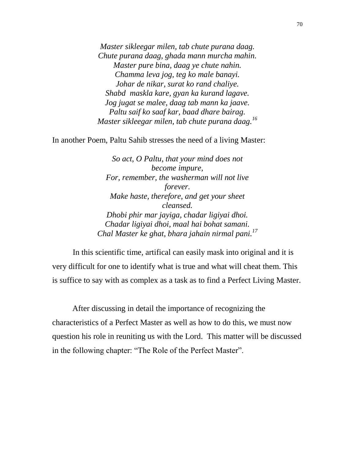*Master sikleegar milen, tab chute purana daag. Chute purana daag, ghada mann murcha mahin. Master pure bina, daag ye chute nahin. Chamma leva jog, teg ko male banayi. Johar de nikar, surat ko rand chaliye. Shabd maskla kare, gyan ka kurand lagave. Jog jugat se malee, daag tab mann ka jaave. Paltu saif ko saaf kar, baad dhare bairag. Master sikleegar milen, tab chute purana daag.<sup>16</sup>*

In another Poem, Paltu Sahib stresses the need of a living Master:

*So act, O Paltu, that your mind does not become impure, For, remember, the washerman will not live forever. Make haste, therefore, and get your sheet cleansed. Dhobi phir mar jayiga, chadar ligiyai dhoi. Chadar ligiyai dhoi, maal hai bohat samani. Chal Master ke ghat, bhara jahain nirmal pani.<sup>17</sup>*

In this scientific time, artifical can easily mask into original and it is very difficult for one to identify what is true and what will cheat them. This is suffice to say with as complex as a task as to find a Perfect Living Master.

 After discussing in detail the importance of recognizing the characteristics of a Perfect Master as well as how to do this, we must now question his role in reuniting us with the Lord. This matter will be discussed in the following chapter: "The Role of the Perfect Master".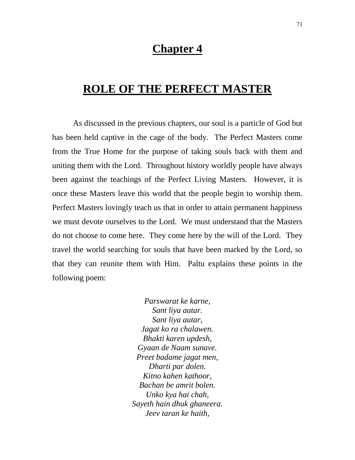### **Chapter 4**

## **ROLE OF THE PERFECT MASTER**

As discussed in the previous chapters, our soul is a particle of God but has been held captive in the cage of the body. The Perfect Masters come from the True Home for the purpose of taking souls back with them and uniting them with the Lord. Throughout history worldly people have always been against the teachings of the Perfect Living Masters. However, it is once these Masters leave this world that the people begin to worship them. Perfect Masters lovingly teach us that in order to attain permanent happiness we must devote ourselves to the Lord. We must understand that the Masters do not choose to come here. They come here by the will of the Lord. They travel the world searching for souls that have been marked by the Lord, so that they can reunite them with Him. Paltu explains these points in the following poem:

> *Parswarat ke karne, Sant liya autar. Sant liya autar, Jagat ko ra chalawen. Bhakti karen updesh, Gyaan de Naam sunave. Preet badame jagat men, Dharti par dolen. Kitno kahen kathoor, Bachan be amrit bolen. Unko kya hai chah, Sayeth hain dhuk ghaneera. Jeev taran ke haith,*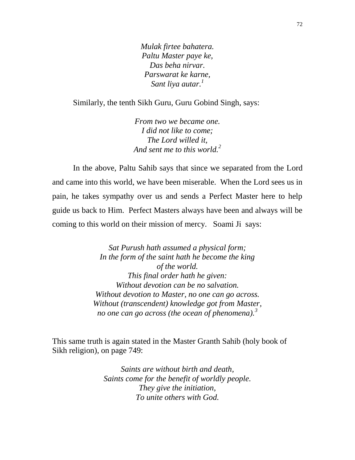*Mulak firtee bahatera. Paltu Master paye ke, Das beha nirvar. Parswarat ke karne, Sant liya autar.<sup>1</sup>*

Similarly, the tenth Sikh Guru, Guru Gobind Singh, says:

*From two we became one. I did not like to come; The Lord willed it, And sent me to this world.<sup>2</sup>*

In the above, Paltu Sahib says that since we separated from the Lord and came into this world, we have been miserable. When the Lord sees us in pain, he takes sympathy over us and sends a Perfect Master here to help guide us back to Him. Perfect Masters always have been and always will be coming to this world on their mission of mercy. Soami Ji says:

> *Sat Purush hath assumed a physical form; In the form of the saint hath he become the king of the world. This final order hath he given: Without devotion can be no salvation. Without devotion to Master, no one can go across. Without (transcendent) knowledge got from Master, no one can go across (the ocean of phenomena).<sup>3</sup>*

This same truth is again stated in the Master Granth Sahib (holy book of Sikh religion), on page 749:

> *Saints are without birth and death, Saints come for the benefit of worldly people. They give the initiation, To unite others with God.*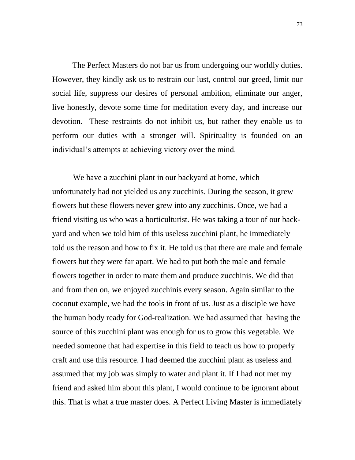The Perfect Masters do not bar us from undergoing our worldly duties. However, they kindly ask us to restrain our lust, control our greed, limit our social life, suppress our desires of personal ambition, eliminate our anger, live honestly, devote some time for meditation every day, and increase our devotion. These restraints do not inhibit us, but rather they enable us to perform our duties with a stronger will. Spirituality is founded on an individual's attempts at achieving victory over the mind.

We have a zucchini plant in our backyard at home, which unfortunately had not yielded us any zucchinis. During the season, it grew flowers but these flowers never grew into any zucchinis. Once, we had a friend visiting us who was a horticulturist. He was taking a tour of our backyard and when we told him of this useless zucchini plant, he immediately told us the reason and how to fix it. He told us that there are male and female flowers but they were far apart. We had to put both the male and female flowers together in order to mate them and produce zucchinis. We did that and from then on, we enjoyed zucchinis every season. Again similar to the coconut example, we had the tools in front of us. Just as a disciple we have the human body ready for God-realization. We had assumed that having the source of this zucchini plant was enough for us to grow this vegetable. We needed someone that had expertise in this field to teach us how to properly craft and use this resource. I had deemed the zucchini plant as useless and assumed that my job was simply to water and plant it. If I had not met my friend and asked him about this plant, I would continue to be ignorant about this. That is what a true master does. A Perfect Living Master is immediately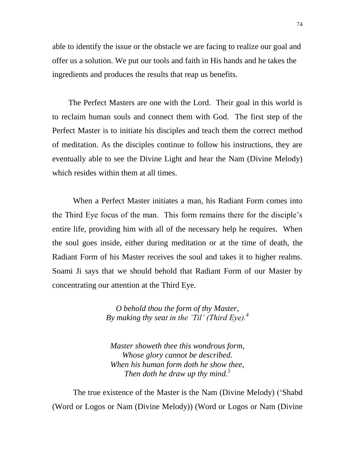able to identify the issue or the obstacle we are facing to realize our goal and offer us a solution. We put our tools and faith in His hands and he takes the ingredients and produces the results that reap us benefits.

 The Perfect Masters are one with the Lord. Their goal in this world is to reclaim human souls and connect them with God. The first step of the Perfect Master is to initiate his disciples and teach them the correct method of meditation. As the disciples continue to follow his instructions, they are eventually able to see the Divine Light and hear the Nam (Divine Melody) which resides within them at all times.

When a Perfect Master initiates a man, his Radiant Form comes into the Third Eye focus of the man. This form remains there for the disciple"s entire life, providing him with all of the necessary help he requires. When the soul goes inside, either during meditation or at the time of death, the Radiant Form of his Master receives the soul and takes it to higher realms. Soami Ji says that we should behold that Radiant Form of our Master by concentrating our attention at the Third Eye.

> *O behold thou the form of thy Master, By making thy seat in the "Til" (Third Eye).<sup>4</sup>*

*Master showeth thee this wondrous form, Whose glory cannot be described. When his human form doth he show thee, Then doth he draw up thy mind.*<sup>5</sup>

The true existence of the Master is the Nam (Divine Melody) ("Shabd (Word or Logos or Nam (Divine Melody)) (Word or Logos or Nam (Divine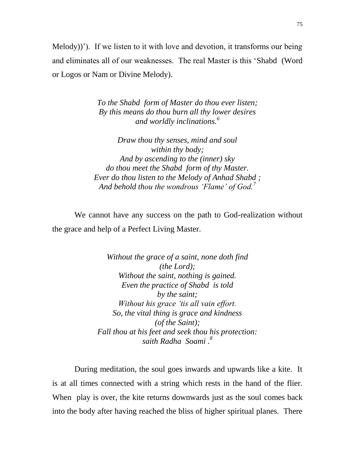Melody))'). If we listen to it with love and devotion, it transforms our being and eliminates all of our weaknesses. The real Master is this "Shabd (Word or Logos or Nam or Divine Melody).

> *To the Shabd form of Master do thou ever listen; By this means do thou burn all thy lower desires and worldly inclinations.<sup>6</sup>*

*Draw thou thy senses, mind and soul within thy body; And by ascending to the (inner) sky do thou meet the Shabd form of thy Master. Ever do thou listen to the Melody of Anhad Shabd ; And behold thou the wondrous "Flame" of God.<sup>7</sup>*

 We cannot have any success on the path to God-realization without the grace and help of a Perfect Living Master.

> *Without the grace of a saint, none doth find (the Lord); Without the saint, nothing is gained. Even the practice of Shabd is told by the saint; Without his grace "tis all vain effort. So, the vital thing is grace and kindness (of the Saint); Fall thou at his feet and seek thou his protection: saith Radha Soami . 8*

 During meditation, the soul goes inwards and upwards like a kite. It is at all times connected with a string which rests in the hand of the flier. When play is over, the kite returns downwards just as the soul comes back into the body after having reached the bliss of higher spiritual planes. There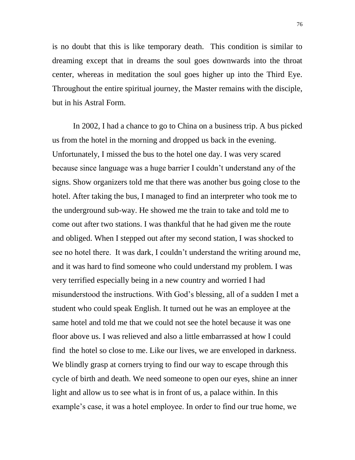is no doubt that this is like temporary death. This condition is similar to dreaming except that in dreams the soul goes downwards into the throat center, whereas in meditation the soul goes higher up into the Third Eye. Throughout the entire spiritual journey, the Master remains with the disciple, but in his Astral Form.

In 2002, I had a chance to go to China on a business trip. A bus picked us from the hotel in the morning and dropped us back in the evening. Unfortunately, I missed the bus to the hotel one day. I was very scared because since language was a huge barrier I couldn"t understand any of the signs. Show organizers told me that there was another bus going close to the hotel. After taking the bus, I managed to find an interpreter who took me to the underground sub-way. He showed me the train to take and told me to come out after two stations. I was thankful that he had given me the route and obliged. When I stepped out after my second station, I was shocked to see no hotel there. It was dark, I couldn"t understand the writing around me, and it was hard to find someone who could understand my problem. I was very terrified especially being in a new country and worried I had misunderstood the instructions. With God"s blessing, all of a sudden I met a student who could speak English. It turned out he was an employee at the same hotel and told me that we could not see the hotel because it was one floor above us. I was relieved and also a little embarrassed at how I could find the hotel so close to me. Like our lives, we are enveloped in darkness. We blindly grasp at corners trying to find our way to escape through this cycle of birth and death. We need someone to open our eyes, shine an inner light and allow us to see what is in front of us, a palace within. In this example's case, it was a hotel employee. In order to find our true home, we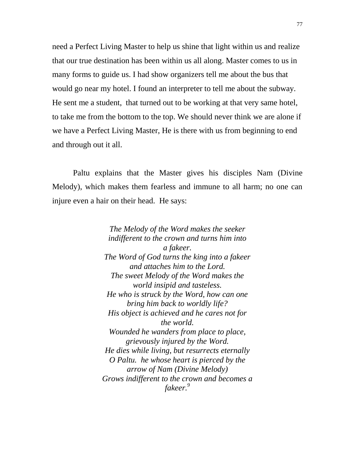need a Perfect Living Master to help us shine that light within us and realize that our true destination has been within us all along. Master comes to us in many forms to guide us. I had show organizers tell me about the bus that would go near my hotel. I found an interpreter to tell me about the subway. He sent me a student, that turned out to be working at that very same hotel, to take me from the bottom to the top. We should never think we are alone if we have a Perfect Living Master, He is there with us from beginning to end and through out it all.

Paltu explains that the Master gives his disciples Nam (Divine Melody), which makes them fearless and immune to all harm; no one can injure even a hair on their head. He says:

> *The Melody of the Word makes the seeker indifferent to the crown and turns him into a fakeer. The Word of God turns the king into a fakeer and attaches him to the Lord. The sweet Melody of the Word makes the world insipid and tasteless. He who is struck by the Word, how can one bring him back to worldly life? His object is achieved and he cares not for the world. Wounded he wanders from place to place, grievously injured by the Word. He dies while living, but resurrects eternally O Paltu. he whose heart is pierced by the arrow of Nam (Divine Melody) Grows indifferent to the crown and becomes a fakeer.<sup>9</sup>*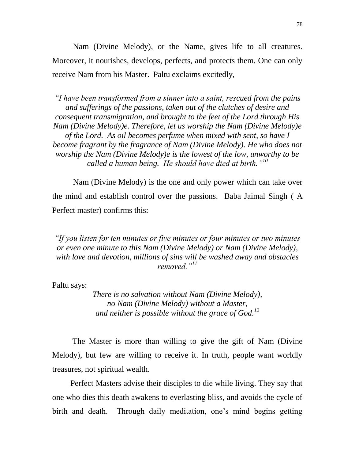Nam (Divine Melody), or the Name, gives life to all creatures. Moreover, it nourishes, develops, perfects, and protects them. One can only receive Nam from his Master. Paltu exclaims excitedly,

*"I have been transformed from a sinner into a saint, rescued from the pains and sufferings of the passions, taken out of the clutches of desire and consequent transmigration, and brought to the feet of the Lord through His Nam (Divine Melody)e. Therefore, let us worship the Nam (Divine Melody)e of the Lord. As oil becomes perfume when mixed with sent, so have I become fragrant by the fragrance of Nam (Divine Melody). He who does not worship the Nam (Divine Melody)e is the lowest of the low, unworthy to be called a human being. He should have died at birth."<sup>10</sup>*

Nam (Divine Melody) is the one and only power which can take over the mind and establish control over the passions. Baba Jaimal Singh ( A Perfect master) confirms this:

*"If you listen for ten minutes or five minutes or four minutes or two minutes or even one minute to this Nam (Divine Melody) or Nam (Divine Melody), with love and devotion, millions of sins will be washed away and obstacles removed."<sup>11</sup>*

Paltu says:

*There is no salvation without Nam (Divine Melody), no Nam (Divine Melody) without a Master, and neither is possible without the grace of God.<sup>12</sup>*

 The Master is more than willing to give the gift of Nam (Divine Melody), but few are willing to receive it. In truth, people want worldly treasures, not spiritual wealth.

 Perfect Masters advise their disciples to die while living. They say that one who dies this death awakens to everlasting bliss, and avoids the cycle of birth and death. Through daily meditation, one"s mind begins getting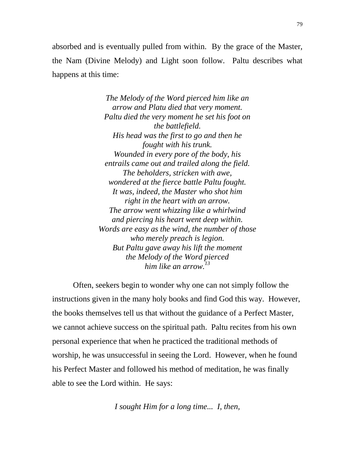absorbed and is eventually pulled from within. By the grace of the Master, the Nam (Divine Melody) and Light soon follow. Paltu describes what happens at this time:

> *The Melody of the Word pierced him like an arrow and Platu died that very moment. Paltu died the very moment he set his foot on the battlefield. His head was the first to go and then he fought with his trunk. Wounded in every pore of the body, his entrails came out and trailed along the field. The beholders, stricken with awe, wondered at the fierce battle Paltu fought. It was, indeed, the Master who shot him right in the heart with an arrow. The arrow went whizzing like a whirlwind and piercing his heart went deep within. Words are easy as the wind, the number of those who merely preach is legion. But Paltu gave away his lift the moment the Melody of the Word pierced him like an arrow.<sup>13</sup>*

Often, seekers begin to wonder why one can not simply follow the instructions given in the many holy books and find God this way. However, the books themselves tell us that without the guidance of a Perfect Master, we cannot achieve success on the spiritual path. Paltu recites from his own personal experience that when he practiced the traditional methods of worship, he was unsuccessful in seeing the Lord. However, when he found his Perfect Master and followed his method of meditation, he was finally able to see the Lord within. He says:

*I sought Him for a long time... I, then,*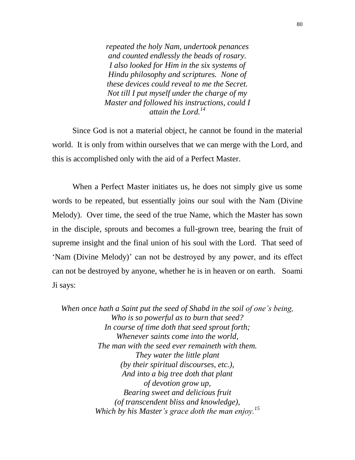*repeated the holy Nam, undertook penances and counted endlessly the beads of rosary. I also looked for Him in the six systems of Hindu philosophy and scriptures. None of these devices could reveal to me the Secret. Not till I put myself under the charge of my Master and followed his instructions, could I attain the Lord.<sup>14</sup>*

 Since God is not a material object, he cannot be found in the material world. It is only from within ourselves that we can merge with the Lord, and this is accomplished only with the aid of a Perfect Master.

 When a Perfect Master initiates us, he does not simply give us some words to be repeated, but essentially joins our soul with the Nam (Divine Melody). Over time, the seed of the true Name, which the Master has sown in the disciple, sprouts and becomes a full-grown tree, bearing the fruit of supreme insight and the final union of his soul with the Lord. That seed of "Nam (Divine Melody)" can not be destroyed by any power, and its effect can not be destroyed by anyone, whether he is in heaven or on earth. Soami Ji says:

*When once hath a Saint put the seed of Shabd in the soil of one"s being, Who is so powerful as to burn that seed? In course of time doth that seed sprout forth; Whenever saints come into the world, The man with the seed ever remaineth with them. They water the little plant (by their spiritual discourses, etc.), And into a big tree doth that plant of devotion grow up, Bearing sweet and delicious fruit (of transcendent bliss and knowledge), Which by his Master"s grace doth the man enjoy.<sup>15</sup>*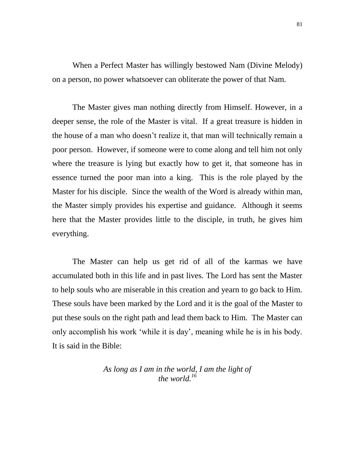When a Perfect Master has willingly bestowed Nam (Divine Melody) on a person, no power whatsoever can obliterate the power of that Nam.

 The Master gives man nothing directly from Himself. However, in a deeper sense, the role of the Master is vital. If a great treasure is hidden in the house of a man who doesn"t realize it, that man will technically remain a poor person. However, if someone were to come along and tell him not only where the treasure is lying but exactly how to get it, that someone has in essence turned the poor man into a king. This is the role played by the Master for his disciple. Since the wealth of the Word is already within man, the Master simply provides his expertise and guidance. Although it seems here that the Master provides little to the disciple, in truth, he gives him everything.

 The Master can help us get rid of all of the karmas we have accumulated both in this life and in past lives. The Lord has sent the Master to help souls who are miserable in this creation and yearn to go back to Him. These souls have been marked by the Lord and it is the goal of the Master to put these souls on the right path and lead them back to Him. The Master can only accomplish his work "while it is day", meaning while he is in his body. It is said in the Bible:

> *As long as I am in the world, I am the light of the world.<sup>16</sup>*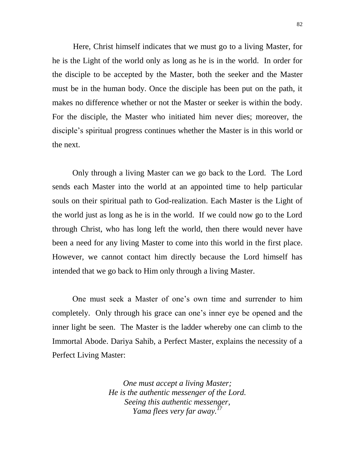Here, Christ himself indicates that we must go to a living Master, for he is the Light of the world only as long as he is in the world. In order for the disciple to be accepted by the Master, both the seeker and the Master must be in the human body. Once the disciple has been put on the path, it makes no difference whether or not the Master or seeker is within the body. For the disciple, the Master who initiated him never dies; moreover, the disciple"s spiritual progress continues whether the Master is in this world or the next.

 Only through a living Master can we go back to the Lord. The Lord sends each Master into the world at an appointed time to help particular souls on their spiritual path to God-realization. Each Master is the Light of the world just as long as he is in the world. If we could now go to the Lord through Christ, who has long left the world, then there would never have been a need for any living Master to come into this world in the first place. However, we cannot contact him directly because the Lord himself has intended that we go back to Him only through a living Master.

 One must seek a Master of one"s own time and surrender to him completely. Only through his grace can one"s inner eye be opened and the inner light be seen. The Master is the ladder whereby one can climb to the Immortal Abode. Dariya Sahib, a Perfect Master, explains the necessity of a Perfect Living Master:

> *One must accept a living Master; He is the authentic messenger of the Lord. Seeing this authentic messenger, Yama flees very far away.<sup>17</sup>*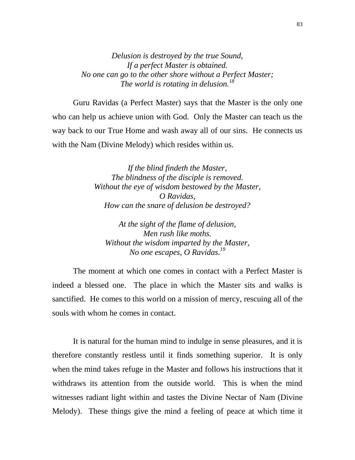*Delusion is destroyed by the true Sound, If a perfect Master is obtained. No one can go to the other shore without a Perfect Master; The world is rotating in delusion.<sup>18</sup>*

Guru Ravidas (a Perfect Master) says that the Master is the only one who can help us achieve union with God. Only the Master can teach us the way back to our True Home and wash away all of our sins. He connects us with the Nam (Divine Melody) which resides within us.

> *If the blind findeth the Master, The blindness of the disciple is removed. Without the eye of wisdom bestowed by the Master, O Ravidas, How can the snare of delusion be destroyed?*

*At the sight of the flame of delusion, Men rush like moths. Without the wisdom imparted by the Master, No one escapes, O Ravidas.<sup>19</sup>*

The moment at which one comes in contact with a Perfect Master is indeed a blessed one. The place in which the Master sits and walks is sanctified. He comes to this world on a mission of mercy, rescuing all of the souls with whom he comes in contact.

It is natural for the human mind to indulge in sense pleasures, and it is therefore constantly restless until it finds something superior. It is only when the mind takes refuge in the Master and follows his instructions that it withdraws its attention from the outside world. This is when the mind witnesses radiant light within and tastes the Divine Nectar of Nam (Divine Melody). These things give the mind a feeling of peace at which time it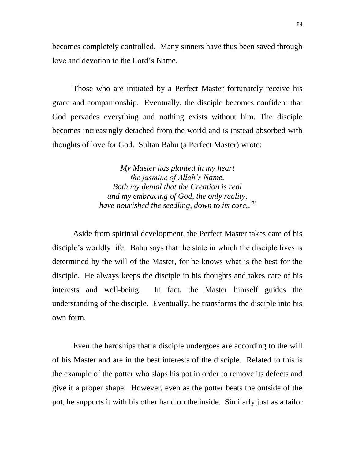becomes completely controlled. Many sinners have thus been saved through love and devotion to the Lord"s Name.

Those who are initiated by a Perfect Master fortunately receive his grace and companionship. Eventually, the disciple becomes confident that God pervades everything and nothing exists without him. The disciple becomes increasingly detached from the world and is instead absorbed with thoughts of love for God. Sultan Bahu (a Perfect Master) wrote:

> *My Master has planted in my heart the jasmine of Allah"s Name. Both my denial that the Creation is real and my embracing of God, the only reality, have nourished the seedling, down to its core.. 20*

Aside from spiritual development, the Perfect Master takes care of his disciple"s worldly life. Bahu says that the state in which the disciple lives is determined by the will of the Master, for he knows what is the best for the disciple. He always keeps the disciple in his thoughts and takes care of his interests and well-being. In fact, the Master himself guides the understanding of the disciple. Eventually, he transforms the disciple into his own form.

Even the hardships that a disciple undergoes are according to the will of his Master and are in the best interests of the disciple. Related to this is the example of the potter who slaps his pot in order to remove its defects and give it a proper shape. However, even as the potter beats the outside of the pot, he supports it with his other hand on the inside. Similarly just as a tailor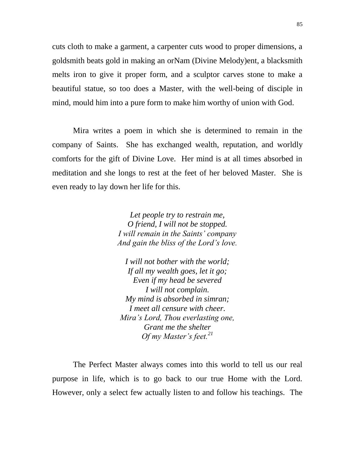cuts cloth to make a garment, a carpenter cuts wood to proper dimensions, a goldsmith beats gold in making an orNam (Divine Melody)ent, a blacksmith melts iron to give it proper form, and a sculptor carves stone to make a beautiful statue, so too does a Master, with the well-being of disciple in mind, mould him into a pure form to make him worthy of union with God.

Mira writes a poem in which she is determined to remain in the company of Saints. She has exchanged wealth, reputation, and worldly comforts for the gift of Divine Love. Her mind is at all times absorbed in meditation and she longs to rest at the feet of her beloved Master. She is even ready to lay down her life for this.

> *Let people try to restrain me, O friend, I will not be stopped. I will remain in the Saints" company And gain the bliss of the Lord"s love.*

*I will not bother with the world; If all my wealth goes, let it go; Even if my head be severed I will not complain. My mind is absorbed in simran; I meet all censure with cheer. Mira"s Lord, Thou everlasting one, Grant me the shelter Of my Master"s feet.<sup>21</sup>*

The Perfect Master always comes into this world to tell us our real purpose in life, which is to go back to our true Home with the Lord. However, only a select few actually listen to and follow his teachings. The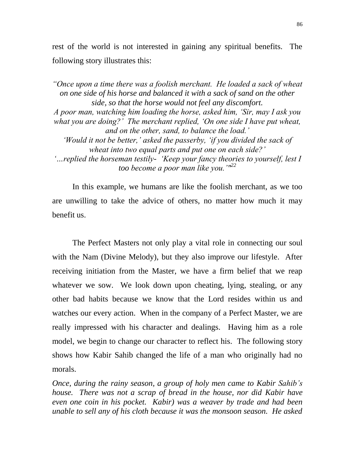rest of the world is not interested in gaining any spiritual benefits. The following story illustrates this:

*"Once upon a time there was a foolish merchant. He loaded a sack of wheat on one side of his horse and balanced it with a sack of sand on the other side, so that the horse would not feel any discomfort. A poor man, watching him loading the horse, asked him, "Sir, may I ask you what you are doing?" The merchant replied, "On one side I have put wheat, and on the other, sand, to balance the load." "Would it not be better," asked the passerby, "if you divided the sack of wheat into two equal parts and put one on each side?" "…replied the horseman testily- "Keep your fancy theories to yourself, lest I too become a poor man like you.""<sup>22</sup>*

 In this example, we humans are like the foolish merchant, as we too are unwilling to take the advice of others, no matter how much it may benefit us.

 The Perfect Masters not only play a vital role in connecting our soul with the Nam (Divine Melody), but they also improve our lifestyle. After receiving initiation from the Master, we have a firm belief that we reap whatever we sow. We look down upon cheating, lying, stealing, or any other bad habits because we know that the Lord resides within us and watches our every action. When in the company of a Perfect Master, we are really impressed with his character and dealings. Having him as a role model, we begin to change our character to reflect his. The following story shows how Kabir Sahib changed the life of a man who originally had no morals.

*Once, during the rainy season, a group of holy men came to Kabir Sahib"s house. There was not a scrap of bread in the house, nor did Kabir have even one coin in his pocket. Kabir) was a weaver by trade and had been unable to sell any of his cloth because it was the monsoon season. He asked*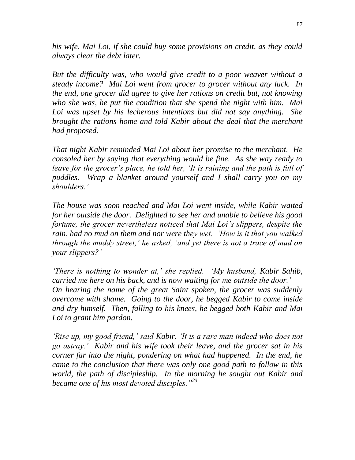*his wife, Mai Loi, if she could buy some provisions on credit, as they could always clear the debt later.*

*But the difficulty was, who would give credit to a poor weaver without a steady income? Mai Loi went from grocer to grocer without any luck. In the end, one grocer did agree to give her rations on credit but, not knowing who she was, he put the condition that she spend the night with him. Mai Loi was upset by his lecherous intentions but did not say anything. She brought the rations home and told Kabir about the deal that the merchant had proposed.*

*That night Kabir reminded Mai Loi about her promise to the merchant. He consoled her by saying that everything would be fine. As she way ready to leave for the grocer's place, he told her, 'It is raining and the path is full of puddles. Wrap a blanket around yourself and I shall carry you on my shoulders."*

*The house was soon reached and Mai Loi went inside, while Kabir waited for her outside the door. Delighted to see her and unable to believe his good fortune, the grocer nevertheless noticed that Mai Loi"s slippers, despite the rain, had no mud on them and nor were they wet. "How is it that you walked through the muddy street," he asked, "and yet there is not a trace of mud on your slippers?"*

*"There is nothing to wonder at," she replied. "My husband, Kabir Sahib, carried me here on his back, and is now waiting for me outside the door." On hearing the name of the great Saint spoken, the grocer was suddenly overcome with shame. Going to the door, he begged Kabir to come inside and dry himself. Then, falling to his knees, he begged both Kabir and Mai Loi to grant him pardon.*

*'Rise up, my good friend,' said Kabir. 'It is a rare man indeed who does not go astray." Kabir and his wife took their leave, and the grocer sat in his corner far into the night, pondering on what had happened. In the end, he came to the conclusion that there was only one good path to follow in this world, the path of discipleship. In the morning he sought out Kabir and became one of his most devoted disciples."<sup>23</sup>*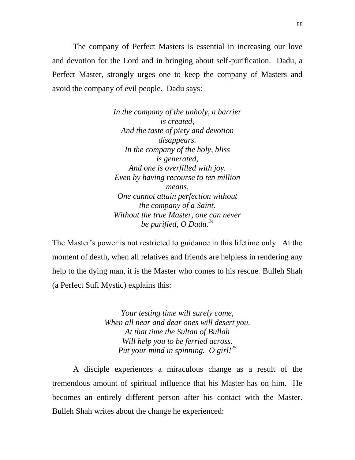The company of Perfect Masters is essential in increasing our love and devotion for the Lord and in bringing about self-purification. Dadu, a Perfect Master, strongly urges one to keep the company of Masters and avoid the company of evil people. Dadu says:

> *In the company of the unholy, a barrier is created, And the taste of piety and devotion disappears. In the company of the holy, bliss is generated, And one is overfilled with joy. Even by having recourse to ten million means, One cannot attain perfection without the company of a Saint. Without the true Master, one can never be purified, O Dadu.<sup>24</sup>*

The Master's power is not restricted to guidance in this lifetime only. At the moment of death, when all relatives and friends are helpless in rendering any help to the dying man, it is the Master who comes to his rescue. Bulleh Shah (a Perfect Sufi Mystic) explains this:

> *Your testing time will surely come, When all near and dear ones will desert you. At that time the Sultan of Bullah Will help you to be ferried across. Put your mind in spinning. O girl!<sup>25</sup>*

A disciple experiences a miraculous change as a result of the tremendous amount of spiritual influence that his Master has on him. He becomes an entirely different person after his contact with the Master. Bulleh Shah writes about the change he experienced: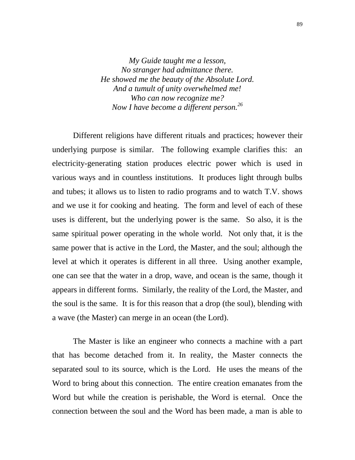*My Guide taught me a lesson, No stranger had admittance there. He showed me the beauty of the Absolute Lord. And a tumult of unity overwhelmed me! Who can now recognize me? Now I have become a different person.<sup>26</sup>*

Different religions have different rituals and practices; however their underlying purpose is similar. The following example clarifies this: an electricity-generating station produces electric power which is used in various ways and in countless institutions. It produces light through bulbs and tubes; it allows us to listen to radio programs and to watch T.V. shows and we use it for cooking and heating. The form and level of each of these uses is different, but the underlying power is the same. So also, it is the same spiritual power operating in the whole world. Not only that, it is the same power that is active in the Lord, the Master, and the soul; although the level at which it operates is different in all three. Using another example, one can see that the water in a drop, wave, and ocean is the same, though it appears in different forms. Similarly, the reality of the Lord, the Master, and the soul is the same. It is for this reason that a drop (the soul), blending with a wave (the Master) can merge in an ocean (the Lord).

The Master is like an engineer who connects a machine with a part that has become detached from it. In reality, the Master connects the separated soul to its source, which is the Lord. He uses the means of the Word to bring about this connection. The entire creation emanates from the Word but while the creation is perishable, the Word is eternal. Once the connection between the soul and the Word has been made, a man is able to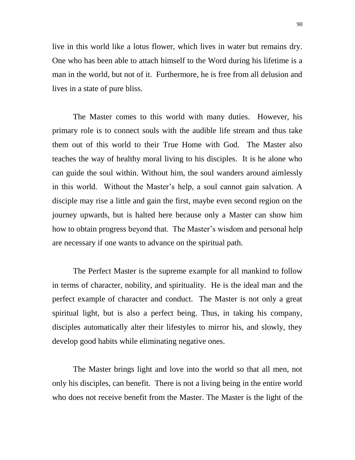live in this world like a lotus flower, which lives in water but remains dry. One who has been able to attach himself to the Word during his lifetime is a man in the world, but not of it. Furthermore, he is free from all delusion and lives in a state of pure bliss.

The Master comes to this world with many duties. However, his primary role is to connect souls with the audible life stream and thus take them out of this world to their True Home with God. The Master also teaches the way of healthy moral living to his disciples. It is he alone who can guide the soul within. Without him, the soul wanders around aimlessly in this world. Without the Master"s help, a soul cannot gain salvation. A disciple may rise a little and gain the first, maybe even second region on the journey upwards, but is halted here because only a Master can show him how to obtain progress beyond that. The Master's wisdom and personal help are necessary if one wants to advance on the spiritual path.

The Perfect Master is the supreme example for all mankind to follow in terms of character, nobility, and spirituality. He is the ideal man and the perfect example of character and conduct. The Master is not only a great spiritual light, but is also a perfect being. Thus, in taking his company, disciples automatically alter their lifestyles to mirror his, and slowly, they develop good habits while eliminating negative ones.

The Master brings light and love into the world so that all men, not only his disciples, can benefit. There is not a living being in the entire world who does not receive benefit from the Master. The Master is the light of the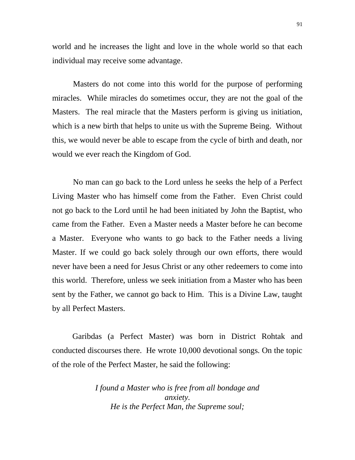world and he increases the light and love in the whole world so that each individual may receive some advantage.

Masters do not come into this world for the purpose of performing miracles. While miracles do sometimes occur, they are not the goal of the Masters. The real miracle that the Masters perform is giving us initiation, which is a new birth that helps to unite us with the Supreme Being. Without this, we would never be able to escape from the cycle of birth and death, nor would we ever reach the Kingdom of God.

No man can go back to the Lord unless he seeks the help of a Perfect Living Master who has himself come from the Father. Even Christ could not go back to the Lord until he had been initiated by John the Baptist, who came from the Father. Even a Master needs a Master before he can become a Master. Everyone who wants to go back to the Father needs a living Master. If we could go back solely through our own efforts, there would never have been a need for Jesus Christ or any other redeemers to come into this world. Therefore, unless we seek initiation from a Master who has been sent by the Father, we cannot go back to Him. This is a Divine Law, taught by all Perfect Masters.

 Garibdas (a Perfect Master) was born in District Rohtak and conducted discourses there. He wrote 10,000 devotional songs. On the topic of the role of the Perfect Master, he said the following:

> *I found a Master who is free from all bondage and anxiety. He is the Perfect Man, the Supreme soul;*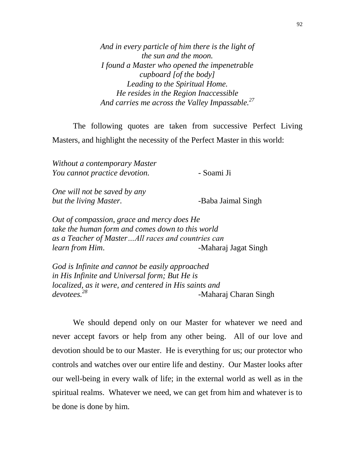*And in every particle of him there is the light of the sun and the moon. I found a Master who opened the impenetrable cupboard [of the body] Leading to the Spiritual Home. He resides in the Region Inaccessible And carries me across the Valley Impassable.<sup>27</sup>*

The following quotes are taken from successive Perfect Living Masters, and highlight the necessity of the Perfect Master in this world:

*Without a contemporary Master You cannot practice devotion.* - Soami Ji

*One will not be saved by any but the living Master.* **-Baba Jaimal Singh** 

*Out of compassion, grace and mercy does He take the human form and comes down to this world as a Teacher of Master…All races and countries can learn from Him*. **-Maharaj Jagat Singh** 

*God is Infinite and cannot be easily approached in His Infinite and Universal form; But He is localized, as it were, and centered in His saints and devotees.<sup>28</sup>* -Maharaj Charan Singh

We should depend only on our Master for whatever we need and never accept favors or help from any other being. All of our love and devotion should be to our Master. He is everything for us; our protector who controls and watches over our entire life and destiny. Our Master looks after our well-being in every walk of life; in the external world as well as in the spiritual realms. Whatever we need, we can get from him and whatever is to be done is done by him.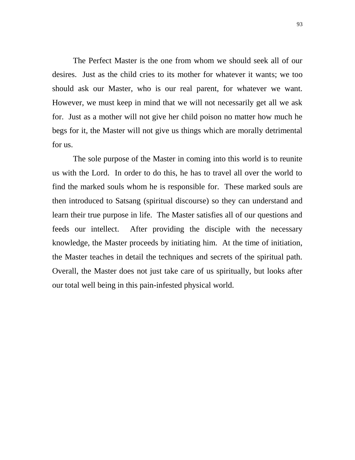The Perfect Master is the one from whom we should seek all of our desires. Just as the child cries to its mother for whatever it wants; we too should ask our Master, who is our real parent, for whatever we want. However, we must keep in mind that we will not necessarily get all we ask for. Just as a mother will not give her child poison no matter how much he begs for it, the Master will not give us things which are morally detrimental for us.

The sole purpose of the Master in coming into this world is to reunite us with the Lord. In order to do this, he has to travel all over the world to find the marked souls whom he is responsible for. These marked souls are then introduced to Satsang (spiritual discourse) so they can understand and learn their true purpose in life. The Master satisfies all of our questions and feeds our intellect. After providing the disciple with the necessary knowledge, the Master proceeds by initiating him. At the time of initiation, the Master teaches in detail the techniques and secrets of the spiritual path. Overall, the Master does not just take care of us spiritually, but looks after our total well being in this pain-infested physical world.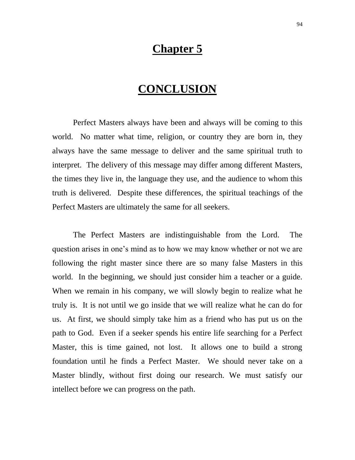### **Chapter 5**

## **CONCLUSION**

Perfect Masters always have been and always will be coming to this world. No matter what time, religion, or country they are born in, they always have the same message to deliver and the same spiritual truth to interpret. The delivery of this message may differ among different Masters, the times they live in, the language they use, and the audience to whom this truth is delivered. Despite these differences, the spiritual teachings of the Perfect Masters are ultimately the same for all seekers.

The Perfect Masters are indistinguishable from the Lord. The question arises in one"s mind as to how we may know whether or not we are following the right master since there are so many false Masters in this world. In the beginning, we should just consider him a teacher or a guide. When we remain in his company, we will slowly begin to realize what he truly is. It is not until we go inside that we will realize what he can do for us. At first, we should simply take him as a friend who has put us on the path to God. Even if a seeker spends his entire life searching for a Perfect Master, this is time gained, not lost. It allows one to build a strong foundation until he finds a Perfect Master. We should never take on a Master blindly, without first doing our research. We must satisfy our intellect before we can progress on the path.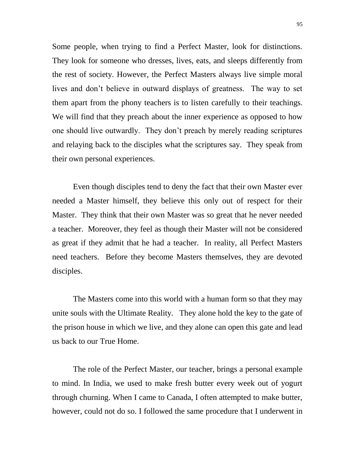Some people, when trying to find a Perfect Master, look for distinctions. They look for someone who dresses, lives, eats, and sleeps differently from the rest of society. However, the Perfect Masters always live simple moral lives and don"t believe in outward displays of greatness. The way to set them apart from the phony teachers is to listen carefully to their teachings. We will find that they preach about the inner experience as opposed to how one should live outwardly. They don"t preach by merely reading scriptures and relaying back to the disciples what the scriptures say. They speak from their own personal experiences.

Even though disciples tend to deny the fact that their own Master ever needed a Master himself, they believe this only out of respect for their Master. They think that their own Master was so great that he never needed a teacher. Moreover, they feel as though their Master will not be considered as great if they admit that he had a teacher. In reality, all Perfect Masters need teachers. Before they become Masters themselves, they are devoted disciples.

The Masters come into this world with a human form so that they may unite souls with the Ultimate Reality. They alone hold the key to the gate of the prison house in which we live, and they alone can open this gate and lead us back to our True Home.

The role of the Perfect Master, our teacher, brings a personal example to mind. In India, we used to make fresh butter every week out of yogurt through churning. When I came to Canada, I often attempted to make butter, however, could not do so. I followed the same procedure that I underwent in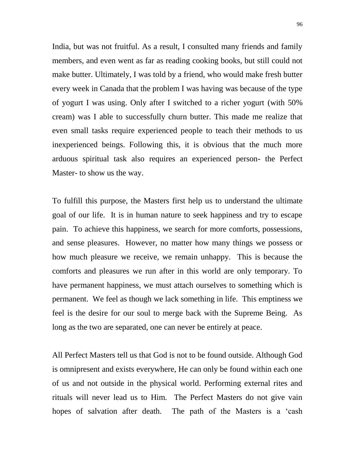India, but was not fruitful. As a result, I consulted many friends and family members, and even went as far as reading cooking books, but still could not make butter. Ultimately, I was told by a friend, who would make fresh butter every week in Canada that the problem I was having was because of the type of yogurt I was using. Only after I switched to a richer yogurt (with 50% cream) was I able to successfully churn butter. This made me realize that even small tasks require experienced people to teach their methods to us inexperienced beings. Following this, it is obvious that the much more arduous spiritual task also requires an experienced person- the Perfect Master- to show us the way.

To fulfill this purpose, the Masters first help us to understand the ultimate goal of our life. It is in human nature to seek happiness and try to escape pain. To achieve this happiness, we search for more comforts, possessions, and sense pleasures. However, no matter how many things we possess or how much pleasure we receive, we remain unhappy. This is because the comforts and pleasures we run after in this world are only temporary. To have permanent happiness, we must attach ourselves to something which is permanent. We feel as though we lack something in life. This emptiness we feel is the desire for our soul to merge back with the Supreme Being. As long as the two are separated, one can never be entirely at peace.

All Perfect Masters tell us that God is not to be found outside. Although God is omnipresent and exists everywhere, He can only be found within each one of us and not outside in the physical world. Performing external rites and rituals will never lead us to Him. The Perfect Masters do not give vain hopes of salvation after death. The path of the Masters is a 'cash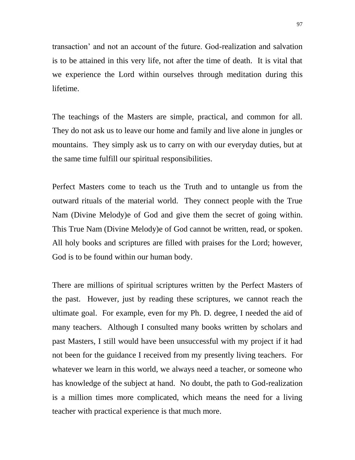transaction" and not an account of the future. God-realization and salvation is to be attained in this very life, not after the time of death. It is vital that we experience the Lord within ourselves through meditation during this lifetime.

The teachings of the Masters are simple, practical, and common for all. They do not ask us to leave our home and family and live alone in jungles or mountains. They simply ask us to carry on with our everyday duties, but at the same time fulfill our spiritual responsibilities.

Perfect Masters come to teach us the Truth and to untangle us from the outward rituals of the material world. They connect people with the True Nam (Divine Melody)e of God and give them the secret of going within. This True Nam (Divine Melody)e of God cannot be written, read, or spoken. All holy books and scriptures are filled with praises for the Lord; however, God is to be found within our human body.

There are millions of spiritual scriptures written by the Perfect Masters of the past. However, just by reading these scriptures, we cannot reach the ultimate goal. For example, even for my Ph. D. degree, I needed the aid of many teachers. Although I consulted many books written by scholars and past Masters, I still would have been unsuccessful with my project if it had not been for the guidance I received from my presently living teachers. For whatever we learn in this world, we always need a teacher, or someone who has knowledge of the subject at hand. No doubt, the path to God-realization is a million times more complicated, which means the need for a living teacher with practical experience is that much more.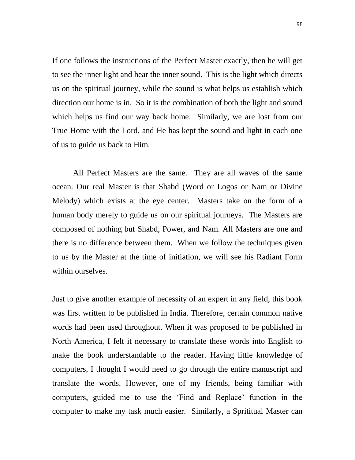If one follows the instructions of the Perfect Master exactly, then he will get to see the inner light and hear the inner sound. This is the light which directs us on the spiritual journey, while the sound is what helps us establish which direction our home is in. So it is the combination of both the light and sound which helps us find our way back home. Similarly, we are lost from our True Home with the Lord, and He has kept the sound and light in each one of us to guide us back to Him.

All Perfect Masters are the same. They are all waves of the same ocean. Our real Master is that Shabd (Word or Logos or Nam or Divine Melody) which exists at the eye center. Masters take on the form of a human body merely to guide us on our spiritual journeys. The Masters are composed of nothing but Shabd, Power, and Nam. All Masters are one and there is no difference between them. When we follow the techniques given to us by the Master at the time of initiation, we will see his Radiant Form within ourselves.

Just to give another example of necessity of an expert in any field, this book was first written to be published in India. Therefore, certain common native words had been used throughout. When it was proposed to be published in North America, I felt it necessary to translate these words into English to make the book understandable to the reader. Having little knowledge of computers, I thought I would need to go through the entire manuscript and translate the words. However, one of my friends, being familiar with computers, guided me to use the "Find and Replace" function in the computer to make my task much easier. Similarly, a Sprititual Master can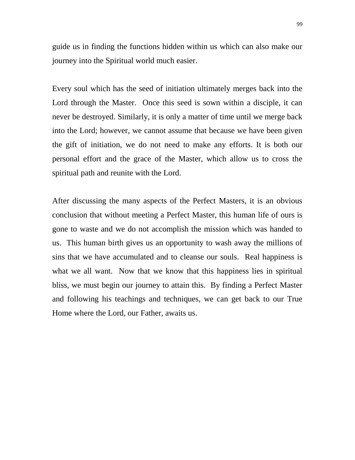guide us in finding the functions hidden within us which can also make our journey into the Spiritual world much easier.

Every soul which has the seed of initiation ultimately merges back into the Lord through the Master. Once this seed is sown within a disciple, it can never be destroyed. Similarly, it is only a matter of time until we merge back into the Lord; however, we cannot assume that because we have been given the gift of initiation, we do not need to make any efforts. It is both our personal effort and the grace of the Master, which allow us to cross the spiritual path and reunite with the Lord.

After discussing the many aspects of the Perfect Masters, it is an obvious conclusion that without meeting a Perfect Master, this human life of ours is gone to waste and we do not accomplish the mission which was handed to us. This human birth gives us an opportunity to wash away the millions of sins that we have accumulated and to cleanse our souls. Real happiness is what we all want. Now that we know that this happiness lies in spiritual bliss, we must begin our journey to attain this. By finding a Perfect Master and following his teachings and techniques, we can get back to our True Home where the Lord, our Father, awaits us.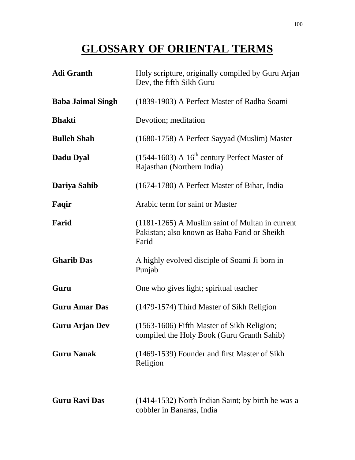# **GLOSSARY OF ORIENTAL TERMS**

| <b>Adi Granth</b>        | Holy scripture, originally compiled by Guru Arjan<br>Dev, the fifth Sikh Guru                              |
|--------------------------|------------------------------------------------------------------------------------------------------------|
| <b>Baba Jaimal Singh</b> | (1839-1903) A Perfect Master of Radha Soami                                                                |
| <b>Bhakti</b>            | Devotion; meditation                                                                                       |
| <b>Bulleh Shah</b>       | (1680-1758) A Perfect Sayyad (Muslim) Master                                                               |
| Dadu Dyal                | $(1544-1603)$ A $16th$ century Perfect Master of<br>Rajasthan (Northern India)                             |
| Dariya Sahib             | (1674-1780) A Perfect Master of Bihar, India                                                               |
| Faqir                    | Arabic term for saint or Master                                                                            |
| Farid                    | $(1181-1265)$ A Muslim saint of Multan in current<br>Pakistan; also known as Baba Farid or Sheikh<br>Farid |
| <b>Gharib Das</b>        | A highly evolved disciple of Soami Ji born in<br>Punjab                                                    |
| Guru                     | One who gives light; spiritual teacher                                                                     |
| <b>Guru Amar Das</b>     | (1479-1574) Third Master of Sikh Religion                                                                  |
| <b>Guru Arjan Dev</b>    | (1563-1606) Fifth Master of Sikh Religion;<br>compiled the Holy Book (Guru Granth Sahib)                   |
| <b>Guru Nanak</b>        | (1469-1539) Founder and first Master of Sikh<br>Religion                                                   |
| <b>Guru Ravi Das</b>     | (1414-1532) North Indian Saint; by birth he was a<br>cobbler in Banaras, India                             |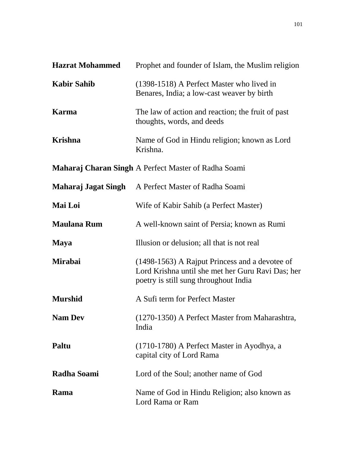| <b>Hazrat Mohammed</b> | Prophet and founder of Islam, the Muslim religion                                                                                            |
|------------------------|----------------------------------------------------------------------------------------------------------------------------------------------|
| <b>Kabir Sahib</b>     | (1398-1518) A Perfect Master who lived in<br>Benares, India; a low-cast weaver by birth                                                      |
| <b>Karma</b>           | The law of action and reaction; the fruit of past<br>thoughts, words, and deeds                                                              |
| <b>Krishna</b>         | Name of God in Hindu religion; known as Lord<br>Krishna.                                                                                     |
|                        | <b>Maharaj Charan Singh A Perfect Master of Radha Soami</b>                                                                                  |
| Maharaj Jagat Singh    | A Perfect Master of Radha Soami                                                                                                              |
| Mai Loi                | Wife of Kabir Sahib (a Perfect Master)                                                                                                       |
| <b>Maulana Rum</b>     | A well-known saint of Persia; known as Rumi                                                                                                  |
| <b>Maya</b>            | Illusion or delusion; all that is not real                                                                                                   |
| <b>Mirabai</b>         | (1498-1563) A Rajput Princess and a devotee of<br>Lord Krishna until she met her Guru Ravi Das; her<br>poetry is still sung throughout India |
| <b>Murshid</b>         | A Sufi term for Perfect Master                                                                                                               |
| <b>Nam Dev</b>         | (1270-1350) A Perfect Master from Maharashtra,<br>India                                                                                      |
| Paltu                  | (1710-1780) A Perfect Master in Ayodhya, a<br>capital city of Lord Rama                                                                      |
| <b>Radha Soami</b>     | Lord of the Soul; another name of God                                                                                                        |
| Rama                   | Name of God in Hindu Religion; also known as<br>Lord Rama or Ram                                                                             |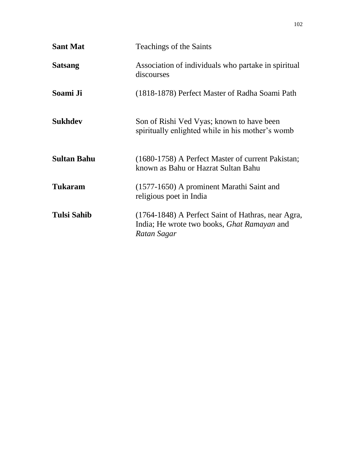| <b>Sant Mat</b>    | Teachings of the Saints                                                                                                 |
|--------------------|-------------------------------------------------------------------------------------------------------------------------|
| <b>Satsang</b>     | Association of individuals who partake in spiritual<br>discourses                                                       |
| Soami Ji           | (1818-1878) Perfect Master of Radha Soami Path                                                                          |
| <b>Sukhdev</b>     | Son of Rishi Ved Vyas; known to have been<br>spiritually enlighted while in his mother's womb                           |
| <b>Sultan Bahu</b> | (1680-1758) A Perfect Master of current Pakistan;<br>known as Bahu or Hazrat Sultan Bahu                                |
| <b>Tukaram</b>     | (1577-1650) A prominent Marathi Saint and<br>religious poet in India                                                    |
| <b>Tulsi Sahib</b> | (1764-1848) A Perfect Saint of Hathras, near Agra,<br>India; He wrote two books, <i>Ghat Ramayan</i> and<br>Ratan Sagar |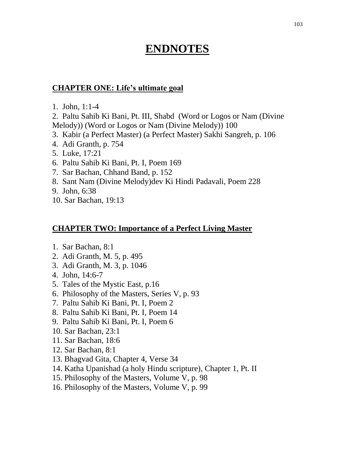## **ENDNOTES**

### **CHAPTER ONE: Life's ultimate goal**

1. John, 1:1-4

2. Paltu Sahib Ki Bani, Pt. III, Shabd (Word or Logos or Nam (Divine Melody)) (Word or Logos or Nam (Divine Melody)) 100

- 3. Kabir (a Perfect Master) (a Perfect Master) Sakhi Sangreh, p. 106
- 4. Adi Granth, p. 754
- 5. Luke, 17:21
- 6. Paltu Sahib Ki Bani, Pt. I, Poem 169
- 7. Sar Bachan, Chhand Band, p. 152
- 8. Sant Nam (Divine Melody)dev Ki Hindi Padavali, Poem 228
- 9. John, 6:38
- 10. Sar Bachan, 19:13

#### **CHAPTER TWO: Importance of a Perfect Living Master**

- 1. Sar Bachan, 8:1
- 2. Adi Granth, M. 5, p. 495
- 3. Adi Granth, M. 3, p. 1046
- 4. John, 14:6-7
- 5. Tales of the Mystic East, p.16
- 6. Philosophy of the Masters, Series V, p. 93
- 7. Paltu Sahib Ki Bani, Pt. I, Poem 2
- 8. Paltu Sahib Ki Bani, Pt. I, Poem 14
- 9. Paltu Sahib Ki Bani, Pt. I, Poem 6
- 10. Sar Bachan, 23:1
- 11. Sar Bachan, 18:6
- 12. Sar Bachan, 8:1
- 13. Bhagvad Gita, Chapter 4, Verse 34
- 14. Katha Upanishad (a holy Hindu scripture), Chapter 1, Pt. II
- 15. Philosophy of the Masters, Volume V, p. 98
- 16. Philosophy of the Masters, Volume V, p. 99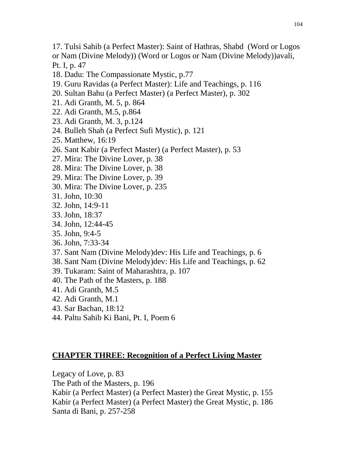- 17. Tulsi Sahib (a Perfect Master): Saint of Hathras, Shabd (Word or Logos or Nam (Divine Melody)) (Word or Logos or Nam (Divine Melody))avali, Pt. I, p. 47
- 18. Dadu: The Compassionate Mystic, p.77
- 19. Guru Ravidas (a Perfect Master): Life and Teachings, p. 116
- 20. Sultan Bahu (a Perfect Master) (a Perfect Master), p. 302
- 21. Adi Granth, M. 5, p. 864
- 22. Adi Granth, M.5, p.864
- 23. Adi Granth, M. 3, p.124
- 24. Bulleh Shah (a Perfect Sufi Mystic), p. 121
- 25. Matthew, 16:19
- 26. Sant Kabir (a Perfect Master) (a Perfect Master), p. 53
- 27. Mira: The Divine Lover, p. 38
- 28. Mira: The Divine Lover, p. 38
- 29. Mira: The Divine Lover, p. 39
- 30. Mira: The Divine Lover, p. 235
- 31. John, 10:30
- 32. John, 14:9-11
- 33. John, 18:37
- 34. John, 12:44-45
- 35. John, 9:4-5
- 36. John, 7:33-34
- 37. Sant Nam (Divine Melody)dev: His Life and Teachings, p. 6
- 38. Sant Nam (Divine Melody)dev: His Life and Teachings, p. 62
- 39. Tukaram: Saint of Maharashtra, p. 107
- 40. The Path of the Masters, p. 188
- 41. Adi Granth, M.5
- 42. Adi Granth, M.1
- 43. Sar Bachan, 18:12
- 44. Paltu Sahib Ki Bani, Pt. I, Poem 6

### **CHAPTER THREE: Recognition of a Perfect Living Master**

Legacy of Love, p. 83

The Path of the Masters, p. 196

Kabir (a Perfect Master) (a Perfect Master) the Great Mystic, p. 155

Kabir (a Perfect Master) (a Perfect Master) the Great Mystic, p. 186 Santa di Bani, p. 257-258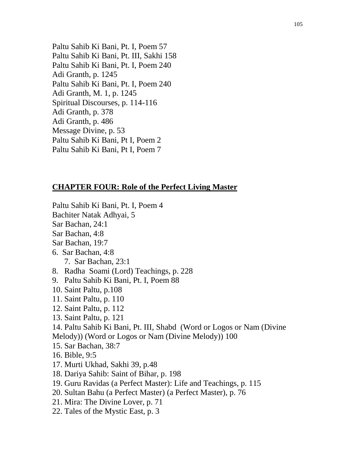Paltu Sahib Ki Bani, Pt. I, Poem 57 Paltu Sahib Ki Bani, Pt. III, Sakhi 158 Paltu Sahib Ki Bani, Pt. I, Poem 240 Adi Granth, p. 1245 Paltu Sahib Ki Bani, Pt. I, Poem 240 Adi Granth, M. 1, p. 1245 Spiritual Discourses, p. 114-116 Adi Granth, p. 378 Adi Granth, p. 486 Message Divine, p. 53 Paltu Sahib Ki Bani, Pt I, Poem 2 Paltu Sahib Ki Bani, Pt I, Poem 7

#### **CHAPTER FOUR: Role of the Perfect Living Master**

- Paltu Sahib Ki Bani, Pt. I, Poem 4
- Bachiter Natak Adhyai, 5
- Sar Bachan, 24:1
- Sar Bachan, 4:8
- Sar Bachan, 19:7
- 6. Sar Bachan, 4:8
	- 7. Sar Bachan, 23:1
- 8. Radha Soami (Lord) Teachings, p. 228
- 9. Paltu Sahib Ki Bani, Pt. I, Poem 88
- 10. Saint Paltu, p.108
- 11. Saint Paltu, p. 110
- 12. Saint Paltu, p. 112
- 13. Saint Paltu, p. 121
- 14. Paltu Sahib Ki Bani, Pt. III, Shabd (Word or Logos or Nam (Divine Melody)) (Word or Logos or Nam (Divine Melody)) 100
- 15. Sar Bachan, 38:7
- 16. Bible, 9:5
- 17. Murti Ukhad, Sakhi 39, p.48
- 18. Dariya Sahib: Saint of Bihar, p. 198
- 19. Guru Ravidas (a Perfect Master): Life and Teachings, p. 115
- 20. Sultan Bahu (a Perfect Master) (a Perfect Master), p. 76
- 21. Mira: The Divine Lover, p. 71
- 22. Tales of the Mystic East, p. 3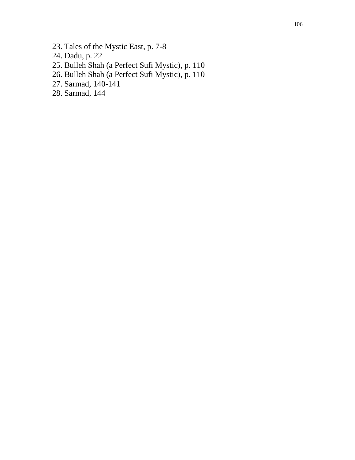- 23. Tales of the Mystic East, p. 7-8
- 24. Dadu, p. 22
- 25. Bulleh Shah (a Perfect Sufi Mystic), p. 110
- 26. Bulleh Shah (a Perfect Sufi Mystic), p. 110
- 27. Sarmad, 140-141
- 28. Sarmad, 144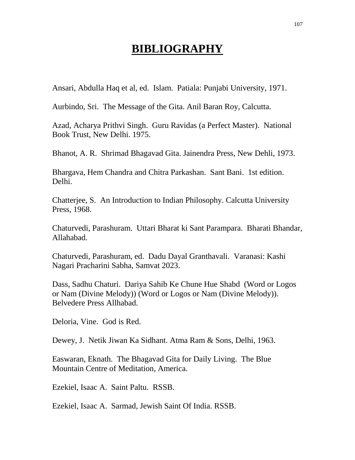# **BIBLIOGRAPHY**

Ansari, Abdulla Haq et al, ed. Islam. Patiala: Punjabi University, 1971.

Aurbindo, Sri. The Message of the Gita. Anil Baran Roy, Calcutta.

Azad, Acharya Prithvi Singh. Guru Ravidas (a Perfect Master). National Book Trust, New Delhi. 1975.

Bhanot, A. R. Shrimad Bhagavad Gita. Jainendra Press, New Dehli, 1973.

Bhargava, Hem Chandra and Chitra Parkashan. Sant Bani. 1st edition. Delhi.

Chatterjee, S. An Introduction to Indian Philosophy. Calcutta University Press, 1968.

Chaturvedi, Parashuram. Uttari Bharat ki Sant Parampara. Bharati Bhandar, Allahabad.

Chaturvedi, Parashuram, ed. Dadu Dayal Granthavali. Varanasi: Kashi Nagari Pracharini Sabha, Samvat 2023.

Dass, Sadhu Chaturi. Dariya Sahib Ke Chune Hue Shabd (Word or Logos or Nam (Divine Melody)) (Word or Logos or Nam (Divine Melody)). Belvedere Press Allhabad.

Deloria, Vine. God is Red.

Dewey, J. Netik Jiwan Ka Sidhant. Atma Ram & Sons, Delhi, 1963.

Easwaran, Eknath. The Bhagavad Gita for Daily Living. The Blue Mountain Centre of Meditation, America.

Ezekiel, Isaac A. Saint Paltu. RSSB.

Ezekiel, Isaac A. Sarmad, Jewish Saint Of India. RSSB.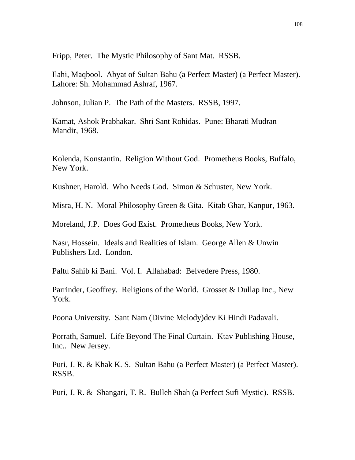Fripp, Peter. The Mystic Philosophy of Sant Mat. RSSB.

Ilahi, Maqbool. Abyat of Sultan Bahu (a Perfect Master) (a Perfect Master). Lahore: Sh. Mohammad Ashraf, 1967.

Johnson, Julian P. The Path of the Masters. RSSB, 1997.

Kamat, Ashok Prabhakar. Shri Sant Rohidas. Pune: Bharati Mudran Mandir, 1968.

Kolenda, Konstantin. Religion Without God. Prometheus Books, Buffalo, New York.

Kushner, Harold. Who Needs God. Simon & Schuster, New York.

Misra, H. N. Moral Philosophy Green & Gita. Kitab Ghar, Kanpur, 1963.

Moreland, J.P. Does God Exist. Prometheus Books, New York.

Nasr, Hossein. Ideals and Realities of Islam. George Allen & Unwin Publishers Ltd. London.

Paltu Sahib ki Bani. Vol. I. Allahabad: Belvedere Press, 1980.

Parrinder, Geoffrey. Religions of the World. Grosset & Dullap Inc., New York.

Poona University. Sant Nam (Divine Melody)dev Ki Hindi Padavali.

Porrath, Samuel. Life Beyond The Final Curtain. Ktav Publishing House, Inc.. New Jersey.

Puri, J. R. & Khak K. S. Sultan Bahu (a Perfect Master) (a Perfect Master). RSSB.

Puri, J. R. & Shangari, T. R. Bulleh Shah (a Perfect Sufi Mystic). RSSB.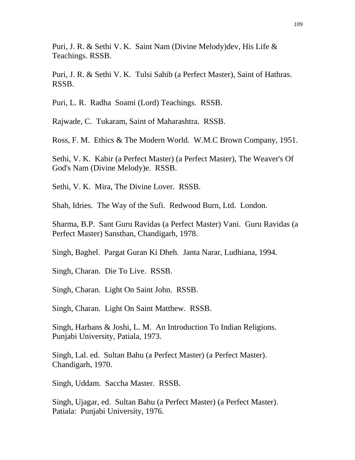Puri, J. R. & Sethi V. K. Saint Nam (Divine Melody)dev, His Life & Teachings. RSSB.

Puri, J. R. & Sethi V. K. Tulsi Sahib (a Perfect Master), Saint of Hathras. RSSB.

Puri, L. R. Radha Soami (Lord) Teachings. RSSB.

Rajwade, C. Tukaram, Saint of Maharashtra. RSSB.

Ross, F. M. Ethics & The Modern World. W.M.C Brown Company, 1951.

Sethi, V. K. Kabir (a Perfect Master) (a Perfect Master), The Weaver's Of God's Nam (Divine Melody)e. RSSB.

Sethi, V. K. Mira, The Divine Lover. RSSB.

Shah, Idries. The Way of the Sufi. Redwood Burn, Ltd. London.

Sharma, B.P. Sant Guru Ravidas (a Perfect Master) Vani. Guru Ravidas (a Perfect Master) Sansthan, Chandigarh, 1978.

Singh, Baghel. Pargat Guran Ki Dheh. Janta Narar, Ludhiana, 1994.

Singh, Charan. Die To Live. RSSB.

Singh, Charan. Light On Saint John. RSSB.

Singh, Charan. Light On Saint Matthew. RSSB.

Singh, Harbans & Joshi, L. M. An Introduction To Indian Religions. Punjabi University, Patiala, 1973.

Singh, Lal. ed. Sultan Bahu (a Perfect Master) (a Perfect Master). Chandigarh, 1970.

Singh, Uddam. Saccha Master. RSSB.

Singh, Ujagar, ed. Sultan Bahu (a Perfect Master) (a Perfect Master). Patiala: Punjabi University, 1976.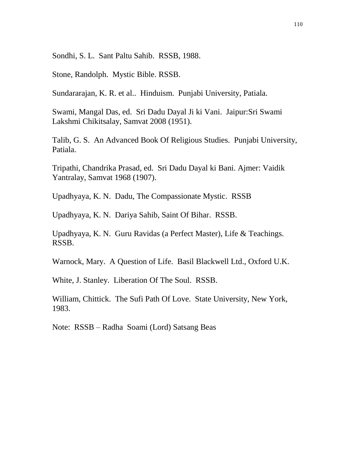Sondhi, S. L. Sant Paltu Sahib. RSSB, 1988.

Stone, Randolph. Mystic Bible. RSSB.

Sundararajan, K. R. et al.. Hinduism. Punjabi University, Patiala.

Swami, Mangal Das, ed. Sri Dadu Dayal Ji ki Vani. Jaipur:Sri Swami Lakshmi Chikitsalay, Samvat 2008 (1951).

Talib, G. S. An Advanced Book Of Religious Studies. Punjabi University, Patiala.

Tripathi, Chandrika Prasad, ed. Sri Dadu Dayal ki Bani. Ajmer: Vaidik Yantralay, Samvat 1968 (1907).

Upadhyaya, K. N. Dadu, The Compassionate Mystic. RSSB

Upadhyaya, K. N. Dariya Sahib, Saint Of Bihar. RSSB.

Upadhyaya, K. N. Guru Ravidas (a Perfect Master), Life & Teachings. RSSB.

Warnock, Mary. A Question of Life. Basil Blackwell Ltd., Oxford U.K.

White, J. Stanley. Liberation Of The Soul. RSSB.

William, Chittick. The Sufi Path Of Love. State University, New York, 1983.

Note: RSSB – Radha Soami (Lord) Satsang Beas